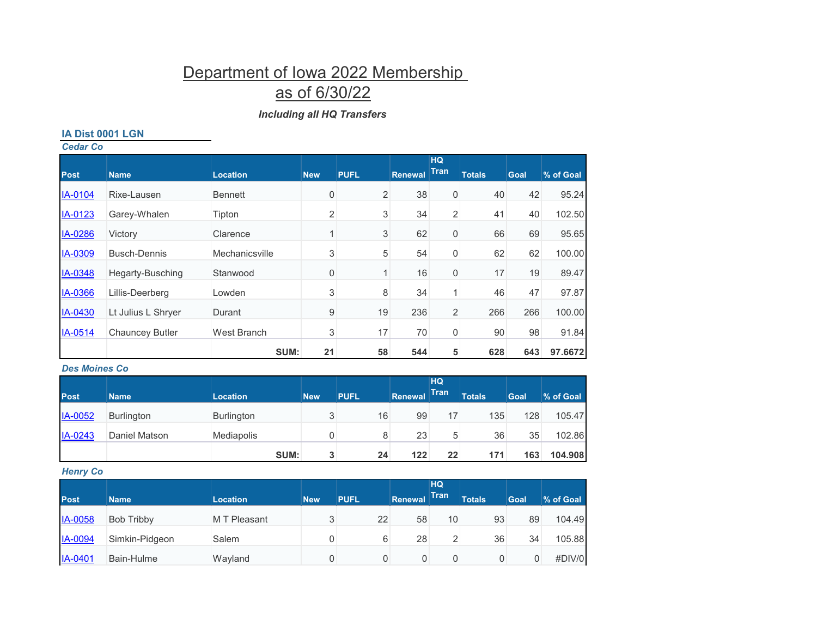# Department of Iowa 2022 Membership

## as of 6/30/22

## *Including all HQ Transfers*

#### **IA Dist 0001 LGN**

| <b>Cedar Co</b> |                        |                 |                  |                |                |                          |               |      |           |
|-----------------|------------------------|-----------------|------------------|----------------|----------------|--------------------------|---------------|------|-----------|
| <b>Post</b>     | <b>Name</b>            | <b>Location</b> | <b>New</b>       | <b>PUFL</b>    | <b>Renewal</b> | <b>HQ</b><br><b>Tran</b> | <b>Totals</b> | Goal | % of Goal |
| IA-0104         | Rixe-Lausen            | <b>Bennett</b>  | $\boldsymbol{0}$ | $\overline{2}$ | 38             | 0                        | 40            | 42   | 95.24     |
| IA-0123         | Garey-Whalen           | Tipton          | $\overline{2}$   | $\sqrt{3}$     | 34             | 2                        | 41            | 40   | 102.50    |
| IA-0286         | Victory                | Clarence        | $\overline{1}$   | 3              | 62             | 0                        | 66            | 69   | 95.65     |
| IA-0309         | <b>Busch-Dennis</b>    | Mechanicsville  | 3                | $\sqrt{5}$     | 54             | 0                        | 62            | 62   | 100.00    |
| IA-0348         | Hegarty-Busching       | Stanwood        | 0                | $\mathbf{1}$   | 16             | 0                        | 17            | 19   | 89.47     |
| IA-0366         | Lillis-Deerberg        | Lowden          | 3                | 8              | 34             | $\mathbf{1}$             | 46            | 47   | 97.87     |
| IA-0430         | Lt Julius L Shryer     | Durant          | 9                | 19             | 236            | 2                        | 266           | 266  | 100.00    |
| IA-0514         | <b>Chauncey Butler</b> | West Branch     | 3                | 17             | 70             | 0                        | 90            | 98   | 91.84     |
|                 |                        | SUM:            | 21               | 58             | 544            | 5                        | 628           | 643  | 97.6672   |

## *Des Moines Co*

| <b>Post</b> | <b>Name</b>       | <b>Location</b>   | <b>New</b> | <b>PUFL</b> | Renewal | <b>HQ</b><br><b>Tran</b> | <b>Totals</b> | Goal | % of Goal |
|-------------|-------------------|-------------------|------------|-------------|---------|--------------------------|---------------|------|-----------|
| IA-0052     | <b>Burlington</b> | <b>Burlington</b> | 2<br>J     | 16          | 99      | 17                       | 135           | 128  | 105.47    |
| IA-0243     | Daniel Matson     | Mediapolis        |            | 8           | 23      | 5                        | 36            | 35   | 102.86    |
|             |                   | SUM:              | 3          | 24          | 122     | 22                       | 171           | 163  | 104.908   |

## *Henry Co*

| <b>Post</b>    | <b>Name</b>    | <b>Location</b> | <b>New</b> | <b>PUFL</b> | Renewal | <b>HQ</b><br>Tran | <b>Totals</b> | Goal | % of Goal |
|----------------|----------------|-----------------|------------|-------------|---------|-------------------|---------------|------|-----------|
| <b>IA-0058</b> | Bob Tribby     | M T Pleasant    | J          | 22          | 58      | 10                | 93            | 89   | 104.49    |
| <b>IA-0094</b> | Simkin-Pidgeon | Salem           |            | 6           | 28      | 2                 | 36            | 34   | 105.88    |
| <b>IA-0401</b> | Bain-Hulme     | Wayland         |            |             | 0       | 0                 |               |      | #DIV/0    |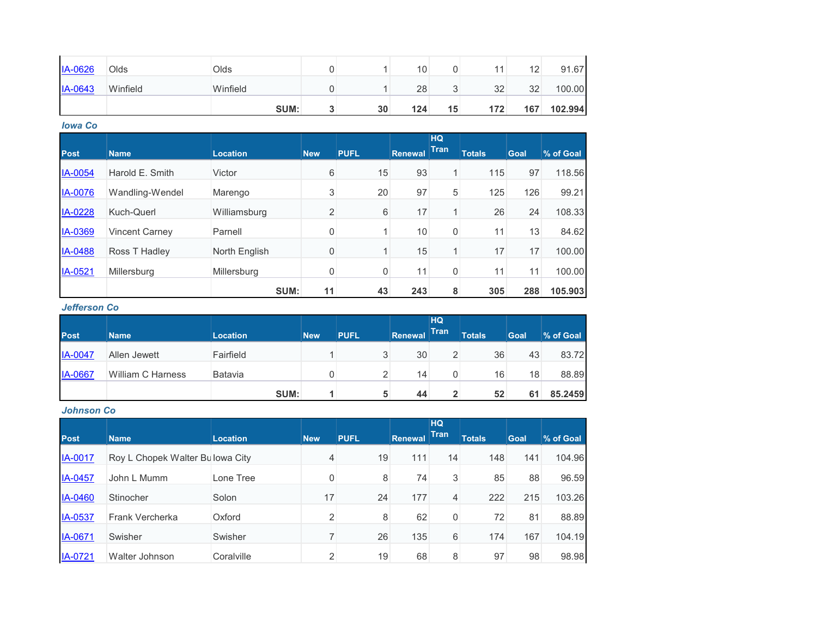| <b>IA-0626</b> | Olds     | Olds     |     |    | 10  |        |     | 12  | 91.67   |
|----------------|----------|----------|-----|----|-----|--------|-----|-----|---------|
| <b>IA-0643</b> | Winfield | Winfield |     |    | 28  | ⌒<br>ັ | 32  | 32  | 100.00  |
|                |          | SUM:     | -14 | 30 | 124 | 15     | 172 | 167 | 102.994 |

*Iowa Co*

|                |                       |                 |            |             |                | <b>HQ</b>    |               |             |           |
|----------------|-----------------------|-----------------|------------|-------------|----------------|--------------|---------------|-------------|-----------|
| <b>Post</b>    | <b>Name</b>           | <b>Location</b> | <b>New</b> | <b>PUFL</b> | <b>Renewal</b> | <b>Tran</b>  | <b>Totals</b> | <b>Goal</b> | % of Goal |
| IA-0054        | Harold E. Smith       | Victor          | 6          | 15          | 93             | $\mathbf{1}$ | 115           | 97          | 118.56    |
| <b>IA-0076</b> | Wandling-Wendel       | Marengo         | 3          | 20          | 97             | 5            | 125           | 126         | 99.21     |
| IA-0228        | Kuch-Querl            | Williamsburg    | 2          | 6           | 17             | $\mathbf{1}$ | 26            | 24          | 108.33    |
| IA-0369        | <b>Vincent Carney</b> | Parnell         | 0          |             | 10             | 0            | 11            | 13          | 84.62     |
| IA-0488        | Ross T Hadley         | North English   | 0          |             | 15             | 1            | 17            | 17          | 100.00    |
| IA-0521        | Millersburg           | Millersburg     | 0          | 0           | 11             | 0            | 11            | 11          | 100.00    |
|                |                       | SUM:            | 11         | 43          | 243            | 8            | 305           | 288         | 105.903   |

### *Jefferson Co*

| <b>Post</b>    | <b>Name</b>              | <b>Location</b> | <b>New</b> | <b>PUFL</b> | Renewal | HQ<br>Tran | <b>Totals</b> | <b>Goal</b> | % of Goal |
|----------------|--------------------------|-----------------|------------|-------------|---------|------------|---------------|-------------|-----------|
| <b>IA-0047</b> | Allen Jewett             | Fairfield       |            | 3           | 30      | 2          | 36            | 43          | 83.72     |
| <b>IA-0667</b> | <b>William C Harness</b> | Batavia         |            | 2           | 14      | 0          | 16            | 18          | 88.89     |
|                |                          | SUM:            |            | 5           | 44      | 2          | 52            |             | 85.2459   |

## *Johnson Co*

| <b>Post</b> | <b>Name</b>                      | <b>Location</b> | <b>New</b> | <b>PUFL</b> | Renewal | <b>HQ</b><br><b>Tran</b> | <b>Totals</b> | <b>Goal</b> | % of Goal |
|-------------|----------------------------------|-----------------|------------|-------------|---------|--------------------------|---------------|-------------|-----------|
| IA-0017     | Roy L Chopek Walter Bullowa City |                 | 4          | 19          | 111     | 14                       | 148           | 141         | 104.96    |
| IA-0457     | John L Mumm                      | Lone Tree       | 0          | 8           | 74      | 3                        | 85            | 88          | 96.59     |
| IA-0460     | Stinocher                        | Solon           | 17         | 24          | 177     | 4                        | 222           | 215         | 103.26    |
| IA-0537     | Frank Vercherka                  | Oxford          | 2          | 8           | 62      | 0                        | 72            | 81          | 88.89     |
| IA-0671     | Swisher                          | Swisher         |            | 26          | 135     | 6                        | 174           | 167         | 104.19    |
| IA-0721     | Walter Johnson                   | Coralville      | 2          | 19          | 68      | 8                        | 97            | 98          | 98.98     |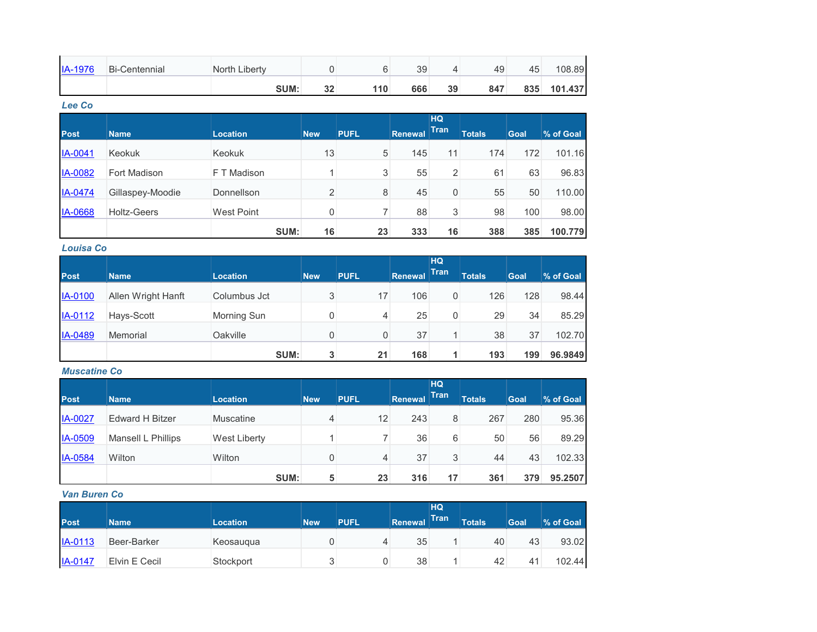| <b>IA-1976</b> | <b>Bi-Centennial</b> | North Liberty |          |     | 39  |    | 49  | 45  | 108.89  |
|----------------|----------------------|---------------|----------|-----|-----|----|-----|-----|---------|
|                |                      | <b>SUM:</b>   | າາ<br>JZ | 110 | 666 | 39 | 847 | 835 | 101.437 |

#### *Lee Co*

|                |                    |                   |                |             |                | <b>HQ</b>      |               |      |           |
|----------------|--------------------|-------------------|----------------|-------------|----------------|----------------|---------------|------|-----------|
| <b>Post</b>    | <b>Name</b>        | <b>Location</b>   | <b>New</b>     | <b>PUFL</b> | <b>Renewal</b> | <b>Tran</b>    | <b>Totals</b> | Goal | % of Goal |
| IA-0041        | <b>Keokuk</b>      | Keokuk            | 13             | 5           | 145            | 11             | 174           | 172  | 101.16    |
| <b>IA-0082</b> | Fort Madison       | F T Madison       |                | 3           | 55             | $\overline{2}$ | 61            | 63   | 96.83     |
| IA-0474        | Gillaspey-Moodie   | Donnellson        | $\overline{2}$ | 8           | 45             | 0              | 55            | 50   | 110.00    |
| <b>IA-0668</b> | <b>Holtz-Geers</b> | <b>West Point</b> | 0              | ⇁           | 88             | 3              | 98            | 100  | 98.00     |
|                |                    | SUM:              | 16             | 23          | 333            | 16             | 388           | 385  | 100.779   |

## *Louisa Co*

|             |                    |                    |            |             |         | <b>HQ</b>   |               |      |           |
|-------------|--------------------|--------------------|------------|-------------|---------|-------------|---------------|------|-----------|
| <b>Post</b> | <b>Name</b>        | <b>Location</b>    | <b>New</b> | <b>PUFL</b> | Renewal | <b>Tran</b> | <b>Totals</b> | Goal | % of Goal |
| IA-0100     | Allen Wright Hanft | Columbus Jct       | 3          | 17          | 106     | 0           | 126           | 128  | 98.44     |
| IA-0112     | Hays-Scott         | <b>Morning Sun</b> | 0          | 4           | 25      | 0           | 29            | 34   | 85.29     |
| IA-0489     | Memorial           | Oakville           | 0          | 0           | 37      |             | 38            | 37   | 102.70    |
|             |                    | SUM:               | 3          | 21          | 168     | л           | 193           | 199  | 96.9849   |

## *Muscatine Co*

|                |                        |                     |            |             |         | HQ          |               |             |           |
|----------------|------------------------|---------------------|------------|-------------|---------|-------------|---------------|-------------|-----------|
| <b>Post</b>    | <b>Name</b>            | <b>Location</b>     | <b>New</b> | <b>PUFL</b> | Renewal | <b>Tran</b> | <b>Totals</b> | <b>Goal</b> | % of Goal |
| <b>IA-0027</b> | <b>Edward H Bitzer</b> | <b>Muscatine</b>    | 4          | 12          | 243     | 8           | 267           | 280         | 95.36     |
| IA-0509        | Mansell L Phillips     | <b>West Liberty</b> |            |             | 36      | 6           | 50            | 56          | 89.29     |
| IA-0584        | Wilton                 | Wilton              | 0          | 4           | 37      | 3           | 44            | 43          | 102.33    |
|                |                        | SUM:                | 5          | 23          | 316     | 17          | 361           | 379         | 95.2507   |

#### *Van Buren Co*

| <b>Post</b> | <b>Name</b>   | <b>Location</b> | <b>New</b> | <b>PUFL</b> | <b>Renewal</b> | HQ<br><b>Tran</b> | <b>Totals</b> | Goal | % of Goal |
|-------------|---------------|-----------------|------------|-------------|----------------|-------------------|---------------|------|-----------|
| $IA-0113$   | Beer-Barker   | Keosaugua       |            | 4           | 35             |                   | 40            | 43   | 93.02     |
| IA-0147     | Elvin E Cecil | Stockport       | ົ<br>ັ     | 0           | 38             |                   | 42            |      | 102.44    |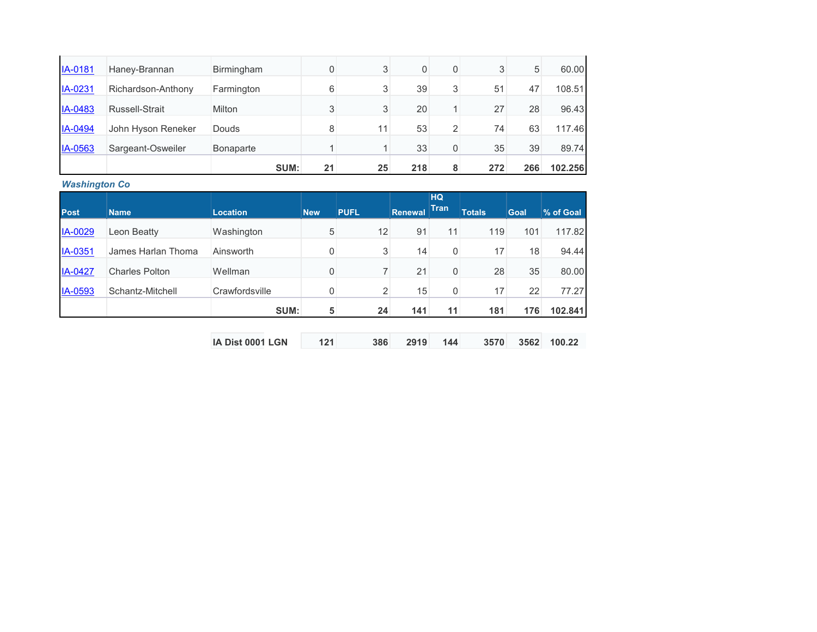|         |                    | SUM:              | 21 | 25 | 218      | 8 | 272 | 266 | 102.256 |
|---------|--------------------|-------------------|----|----|----------|---|-----|-----|---------|
| IA-0563 | Sargeant-Osweiler  | <b>Bonaparte</b>  |    |    | 33       | 0 | 35  | 39  | 89.74   |
| IA-0494 | John Hyson Reneker | <b>Douds</b>      | 8  | 11 | 53       | 2 | 74  | 63  | 117.46  |
| IA-0483 | Russell-Strait     | <b>Milton</b>     | 3  | 3  | 20       |   | 27  | 28  | 96.43   |
| IA-0231 | Richardson-Anthony | Farmington        | 6  | 3  | 39       | 3 | 51  | 47  | 108.51  |
| IA-0181 | Haney-Brannan      | <b>Birmingham</b> | 0  | 3  | $\Omega$ | 0 | 3   | 5   | 60.00   |

*Washington Co*

| <b>Post</b> | <b>Name</b>           | <b>Location</b>  | <b>New</b>  | <b>PUFL</b>    | <b>Renewal</b> | <b>HQ</b><br><b>Tran</b> | <b>Totals</b> | <b>Goal</b> | % of Goal |
|-------------|-----------------------|------------------|-------------|----------------|----------------|--------------------------|---------------|-------------|-----------|
| IA-0029     | Leon Beatty           | Washington       | 5           | 12             | 91             | 11                       | 119           | 101         | 117.82    |
| IA-0351     | James Harlan Thoma    | Ainsworth        | 0           | 3              | 14             | 0                        | 17            | 18          | 94.44     |
| IA-0427     | <b>Charles Polton</b> | Wellman          | 0           | 7              | 21             | 0                        | 28            | 35          | 80.00     |
| IA-0593     | Schantz-Mitchell      | Crawfordsville   | $\mathbf 0$ | $\overline{2}$ | 15             | 0                        | 17            | 22          | 77.27     |
|             |                       | SUM:             | 5           | 24             | 141            | 11                       | 181           | 176         | 102.841   |
|             |                       |                  |             |                |                |                          |               |             |           |
|             |                       | IA Dist 0001 LGN | 121         | 386            | 2919           | 144                      | 3570          | 3562        | 100.22    |

**IA Dist 0001 LGN 121 386 2919 144 3570 3562**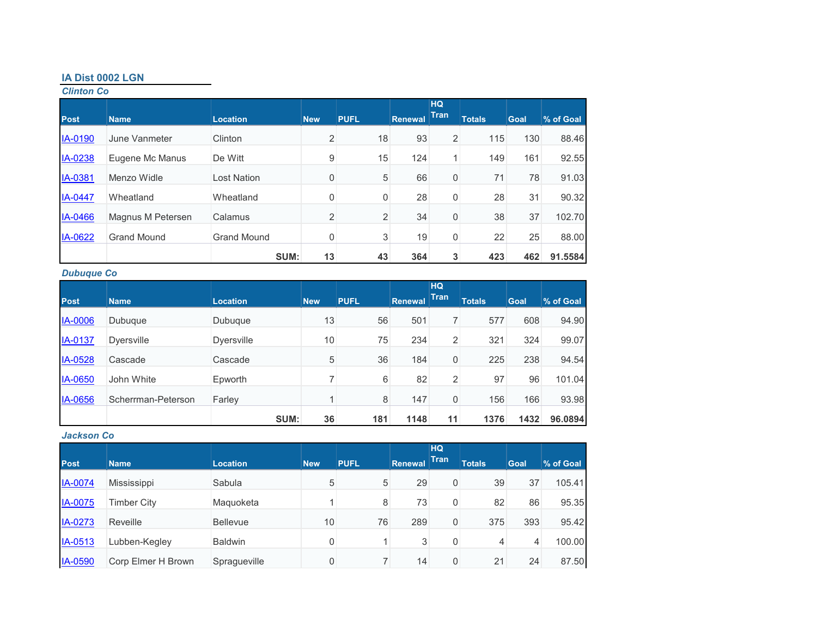#### **IA Dist 0002 LGN**

*Clinton Co*

| <b>Post</b> | <b>Name</b>        | <b>Location</b>    | <b>New</b>     | <b>PUFL</b>    | <b>Renewal</b> | <b>HQ</b><br><b>Tran</b> | <b>Totals</b> | <b>Goal</b> | % of Goal |
|-------------|--------------------|--------------------|----------------|----------------|----------------|--------------------------|---------------|-------------|-----------|
| IA-0190     | June Vanmeter      | Clinton            | $\overline{2}$ | 18             | 93             | $\overline{2}$           | 115           | 130         | 88.46     |
| IA-0238     | Eugene Mc Manus    | De Witt            | 9              | 15             | 124            | 1 <sup>1</sup>           | 149           | 161         | 92.55     |
| IA-0381     | Menzo Widle        | <b>Lost Nation</b> | 0              | 5              | 66             | 0                        | 71            | 78          | 91.03     |
| IA-0447     | Wheatland          | Wheatland          | 0              | 0              | 28             | 0                        | 28            | 31          | 90.32     |
| IA-0466     | Magnus M Petersen  | Calamus            | $\overline{2}$ | $\overline{c}$ | 34             | 0                        | 38            | 37          | 102.70    |
| IA-0622     | <b>Grand Mound</b> | <b>Grand Mound</b> | 0              | 3              | 19             | 0                        | 22            | 25          | 88.00     |
|             |                    | SUM:               | 13             | 43             | 364            | 3                        | 423           | 462         | 91.5584   |

## *Dubuque Co*

|                |                    |                   |                 |             |                | <b>HQ</b>   |               |      |           |
|----------------|--------------------|-------------------|-----------------|-------------|----------------|-------------|---------------|------|-----------|
| <b>Post</b>    | <b>Name</b>        | <b>Location</b>   | <b>New</b>      | <b>PUFL</b> | <b>Renewal</b> | <b>Tran</b> | <b>Totals</b> | Goal | % of Goal |
| <b>IA-0006</b> | Dubuque            | Dubuque           | 13              | 56          | 501            |             | 577           | 608  | 94.90     |
| IA-0137        | <b>Dyersville</b>  | <b>Dyersville</b> | 10 <sub>1</sub> | 75          | 234            | 2           | 321           | 324  | 99.07     |
| IA-0528        | Cascade            | Cascade           | 5               | 36          | 184            | 0           | 225           | 238  | 94.54     |
| <b>IA-0650</b> | John White         | Epworth           |                 | 6           | 82             | 2           | 97            | 96   | 101.04    |
| IA-0656        | Scherrman-Peterson | Farley            | 4               | 8           | 147            | 0           | 156           | 166  | 93.98     |
|                |                    | SUM:              | 36              | 181         | 1148           | 11          | 1376          | 1432 | 96.0894   |

## *Jackson Co*

| <b>Post</b>    | <b>Name</b>        | <b>Location</b> | <b>New</b>     | <b>PUFL</b> | <b>Renewal</b> | <b>HQ</b><br><b>Tran</b> | <b>Totals</b> | <b>Goal</b> | % of Goal |
|----------------|--------------------|-----------------|----------------|-------------|----------------|--------------------------|---------------|-------------|-----------|
| <b>IA-0074</b> | Mississippi        | Sabula          | 5              | 5           | 29             | 0                        | 39            | 37          | 105.41    |
| IA-0075        | Timber City        | Maguoketa       |                | 8           | 73             | 0                        | 82            | 86          | 95.35     |
| <b>IA-0273</b> | Reveille           | <b>Bellevue</b> | 10             | 76          | 289            | 0                        | 375           | 393         | 95.42     |
| IA-0513        | Lubben-Kegley      | <b>Baldwin</b>  | $\mathbf 0$    |             | 3              | 0                        | 4             | 4           | 100.00    |
| <b>IA-0590</b> | Corp Elmer H Brown | Spragueville    | $\overline{0}$ | 7           | 14             | 0                        | 21            | 24          | 87.50     |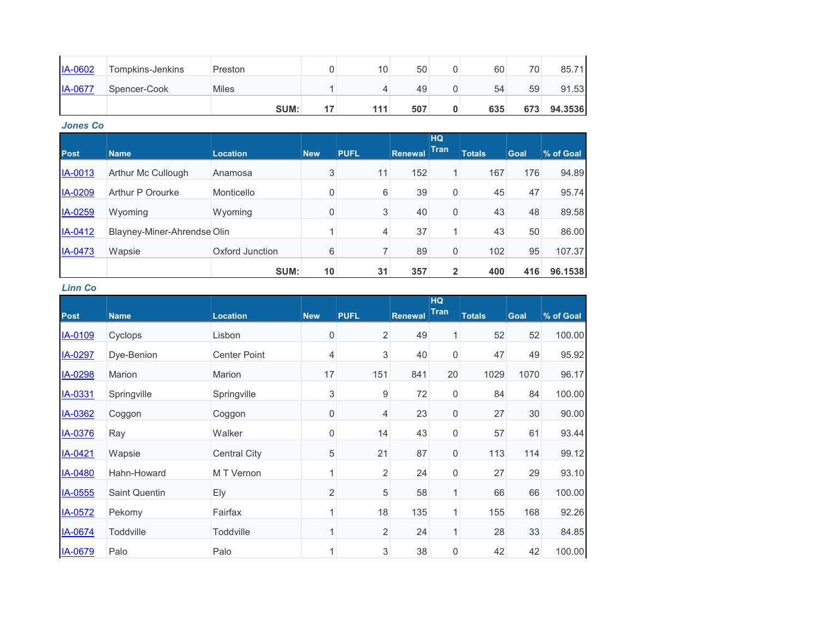| <b>IA-0602</b> | Tompkins-Jenkins | Preston      | 10  | 50  | 60  | 70 <sub>1</sub> | 85.71   |
|----------------|------------------|--------------|-----|-----|-----|-----------------|---------|
| <b>IA-0677</b> | Spencer-Cook     | <b>Miles</b> |     | 49  | 54  | 59              | 91.53   |
|                |                  | SUM:         | 111 | 507 | 635 | 673             | 94.3536 |

*Jones Co*

| <b>Post</b>    | <b>Name</b>                 | <b>Location</b> | <b>New</b> | <b>PUFL</b> | Renewal | <b>HQ</b><br><b>Tran</b> | <b>Totals</b> | Goal | % of Goal |
|----------------|-----------------------------|-----------------|------------|-------------|---------|--------------------------|---------------|------|-----------|
| IA-0013        | Arthur Mc Cullough          | Anamosa         | 3          | 11          | 152     | $\mathbf{1}$             | 167           | 176  | 94.89     |
| IA-0209        | Arthur P Orourke            | Monticello      | 0          | 6           | 39      | 0                        | 45            | 47   | 95.74     |
| IA-0259        | Wyoming                     | Wyoming         | 0          | 3           | 40      | 0                        | 43            | 48   | 89.58     |
| IA-0412        | Blayney-Miner-Ahrendse Olin |                 |            | 4           | 37      |                          | 43            | 50   | 86.00     |
| <b>IA-0473</b> | Wapsie                      | Oxford Junction | 6          | 7           | 89      | 0                        | 102           | 95   | 107.37    |
|                |                             | SUM:            | 10         | 31          | 357     | $\overline{2}$           | 400           | 416  | 96.1538   |

*Linn Co*

|             |                      |                     |                |                  |                | <b>HQ</b>   |               |      |           |
|-------------|----------------------|---------------------|----------------|------------------|----------------|-------------|---------------|------|-----------|
| <b>Post</b> | <b>Name</b>          | <b>Location</b>     | <b>New</b>     | <b>PUFL</b>      | <b>Renewal</b> | <b>Tran</b> | <b>Totals</b> | Goal | % of Goal |
| IA-0109     | Cyclops              | Lisbon              | 0              | $\sqrt{2}$       | 49             | 1           | 52            | 52   | 100.00    |
| IA-0297     | Dye-Benion           | <b>Center Point</b> | 4              | 3                | 40             | 0           | 47            | 49   | 95.92     |
| IA-0298     | Marion               | Marion              | 17             | 151              | 841            | 20          | 1029          | 1070 | 96.17     |
| IA-0331     | Springville          | Springville         | 3              | $\boldsymbol{9}$ | 72             | 0           | 84            | 84   | 100.00    |
| IA-0362     | Coggon               | Coggon              | 0              | 4                | 23             | 0           | 27            | 30   | 90.00     |
| IA-0376     | Ray                  | Walker              | 0              | 14               | 43             | 0           | 57            | 61   | 93.44     |
| IA-0421     | Wapsie               | <b>Central City</b> | 5              | 21               | 87             | 0           | 113           | 114  | 99.12     |
| IA-0480     | Hahn-Howard          | M T Vernon          | 1              | $\overline{2}$   | 24             | 0           | 27            | 29   | 93.10     |
| IA-0555     | <b>Saint Quentin</b> | <b>Ely</b>          | $\overline{2}$ | 5                | 58             | 1           | 66            | 66   | 100.00    |
| IA-0572     | Pekomy               | Fairfax             |                | 18               | 135            | 1           | 155           | 168  | 92.26     |
| IA-0674     | Toddville            | Toddville           |                | $\sqrt{2}$       | 24             | 1           | 28            | 33   | 84.85     |
| IA-0679     | Palo                 | Palo                |                | 3                | 38             | 0           | 42            | 42   | 100.00    |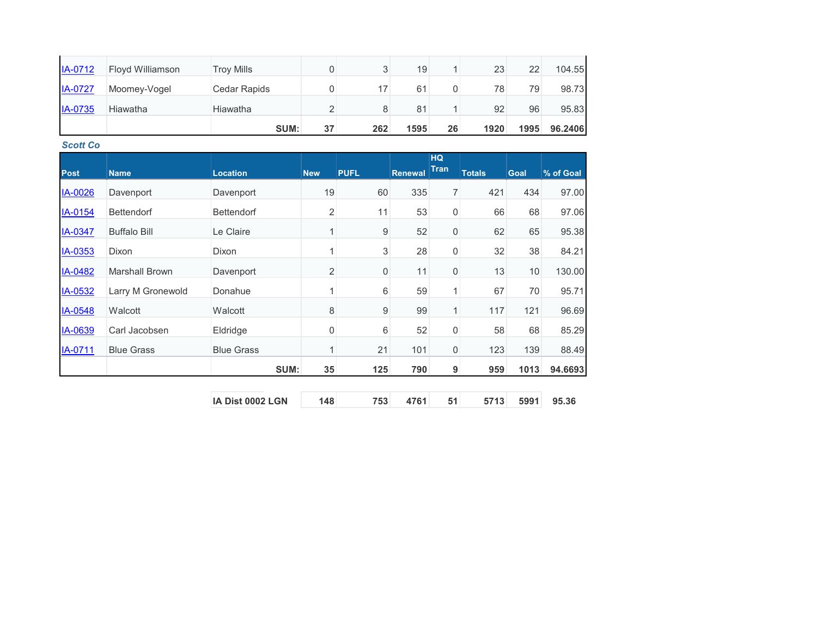| IA-0712        | <b>Floyd Williamson</b> | <b>Troy Mills</b> |    |     | 19   |    | 23   | 22   | 104.55  |
|----------------|-------------------------|-------------------|----|-----|------|----|------|------|---------|
| <b>IA-0727</b> | Moomey-Vogel            | Cedar Rapids      |    | 17  | 61   | 0  | 78   | 79   | 98.73   |
| <b>IA-0735</b> | Hiawatha                | Hiawatha          |    |     | 81   |    | 92   | 96   | 95.83   |
|                |                         | SUM:              | 37 | 262 | 1595 | 26 | 1920 | 1995 | 96.2406 |

*Scott Co*

|                |                     |                   |                |             |         | <b>HQ</b>        |               |             |           |
|----------------|---------------------|-------------------|----------------|-------------|---------|------------------|---------------|-------------|-----------|
| <b>Post</b>    | <b>Name</b>         | <b>Location</b>   | <b>New</b>     | <b>PUFL</b> | Renewal | <b>Tran</b>      | <b>Totals</b> | <b>Goal</b> | % of Goal |
| IA-0026        | Davenport           | Davenport         | 19             | 60          | 335     | $\overline{7}$   | 421           | 434         | 97.00     |
| <b>IA-0154</b> | <b>Bettendorf</b>   | <b>Bettendorf</b> | $\overline{2}$ | 11          | 53      | $\mathbf 0$      | 66            | 68          | 97.06     |
| <u>IA-0347</u> | <b>Buffalo Bill</b> | Le Claire         |                | 9           | 52      | $\mathbf 0$      | 62            | 65          | 95.38     |
| <u>IA-0353</u> | Dixon               | <b>Dixon</b>      |                | $\sqrt{3}$  | 28      | $\mathbf 0$      | 32            | 38          | 84.21     |
| IA-0482        | Marshall Brown      | Davenport         | 2              | $\mathbf 0$ | 11      | $\mathbf 0$      | 13            | 10          | 130.00    |
| <u>IA-0532</u> | Larry M Gronewold   | Donahue           | 1              | 6           | 59      | 1                | 67            | 70          | 95.71     |
| IA-0548        | Walcott             | Walcott           | 8              | $9\,$       | 99      | $\mathbf{1}$     | 117           | 121         | 96.69     |
| IA-0639        | Carl Jacobsen       | Eldridge          | $\mathbf 0$    | 6           | 52      | $\boldsymbol{0}$ | 58            | 68          | 85.29     |
| IA-0711        | <b>Blue Grass</b>   | <b>Blue Grass</b> | 1              | 21          | 101     | $\mathbf 0$      | 123           | 139         | 88.49     |
|                |                     | SUM:              | 35             | 125         | 790     | 9                | 959           | 1013        | 94.6693   |
|                |                     |                   |                |             |         |                  |               |             |           |

| <b>IA Dist 0002 LGN</b> | 148 |  | 753 4761 51 5713 5991 95.36 |  |
|-------------------------|-----|--|-----------------------------|--|
|                         |     |  |                             |  |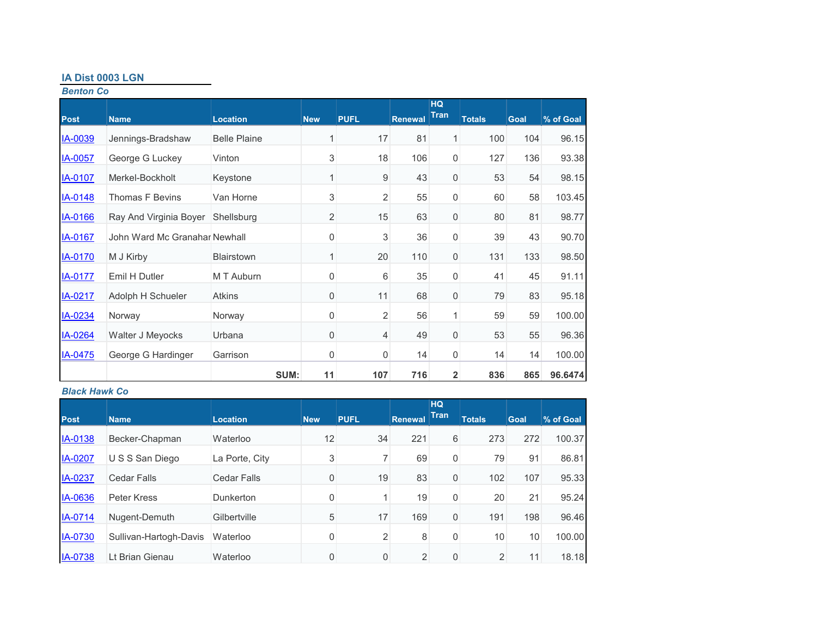## **IA Dist 0003 LGN**

*Benton Co*

|                |                               |                     |                |             |                | <b>HQ</b>   |               |             |           |
|----------------|-------------------------------|---------------------|----------------|-------------|----------------|-------------|---------------|-------------|-----------|
| <b>Post</b>    | <b>Name</b>                   | <b>Location</b>     | <b>New</b>     | <b>PUFL</b> | <b>Renewal</b> | <b>Tran</b> | <b>Totals</b> | <b>Goal</b> | % of Goal |
| <b>IA-0039</b> | Jennings-Bradshaw             | <b>Belle Plaine</b> | 1              | 17          | 81             | 1           | 100           | 104         | 96.15     |
| IA-0057        | George G Luckey               | Vinton              | 3              | 18          | 106            | 0           | 127           | 136         | 93.38     |
| <b>IA-0107</b> | Merkel-Bockholt               | Keystone            | 1              | 9           | 43             | 0           | 53            | 54          | 98.15     |
| IA-0148        | <b>Thomas F Bevins</b>        | Van Horne           | 3              | 2           | 55             | 0           | 60            | 58          | 103.45    |
| IA-0166        | Ray And Virginia Boyer        | Shellsburg          | $\overline{2}$ | 15          | 63             | 0           | 80            | 81          | 98.77     |
| IA-0167        | John Ward Mc Granahar Newhall |                     | 0              | 3           | 36             | 0           | 39            | 43          | 90.70     |
| <b>IA-0170</b> | M J Kirby                     | <b>Blairstown</b>   | 1              | 20          | 110            | 0           | 131           | 133         | 98.50     |
| <b>IA-0177</b> | Emil H Dutler                 | M T Auburn          | 0              | 6           | 35             | 0           | 41            | 45          | 91.11     |
| IA-0217        | Adolph H Schueler             | <b>Atkins</b>       | 0              | 11          | 68             | 0           | 79            | 83          | 95.18     |
| IA-0234        | Norway                        | Norway              | 0              | 2           | 56             | 1           | 59            | 59          | 100.00    |
| IA-0264        | Walter J Meyocks              | Urbana              | 0              | 4           | 49             | 0           | 53            | 55          | 96.36     |
| IA-0475        | George G Hardinger            | Garrison            | 0              | 0           | 14             | $\mathbf 0$ | 14            | 14          | 100.00    |
|                |                               | SUM:                | 11             | 107         | 716            | 2           | 836           | 865         | 96.6474   |

## *Black Hawk Co*

|                |                        |                    |            |                |                | HQ<br><b>Tran</b> |               |             |           |
|----------------|------------------------|--------------------|------------|----------------|----------------|-------------------|---------------|-------------|-----------|
| <b>Post</b>    | <b>Name</b>            | <b>Location</b>    | <b>New</b> | <b>PUFL</b>    | <b>Renewal</b> |                   | <b>Totals</b> | <b>Goal</b> | % of Goal |
| IA-0138        | Becker-Chapman         | Waterloo           | 12         | 34             | 221            | 6                 | 273           | 272         | 100.37    |
| IA-0207        | U S S San Diego        | La Porte, City     | 3          | 7              | 69             | 0                 | 79            | 91          | 86.81     |
| IA-0237        | <b>Cedar Falls</b>     | <b>Cedar Falls</b> | 0          | 19             | 83             | 0                 | 102           | 107         | 95.33     |
| IA-0636        | Peter Kress            | Dunkerton          | 0          |                | 19             | 0                 | 20            | 21          | 95.24     |
| IA-0714        | Nugent-Demuth          | Gilbertville       | 5          | 17             | 169            | 0                 | 191           | 198         | 96.46     |
| <b>IA-0730</b> | Sullivan-Hartogh-Davis | Waterloo           | 0          | $\overline{2}$ | 8              | 0                 | 10            | 10          | 100.00    |
| IA-0738        | Lt Brian Gienau        | Waterloo           | 0          | 0              | 2              | 0                 | 2             | 11          | 18.18     |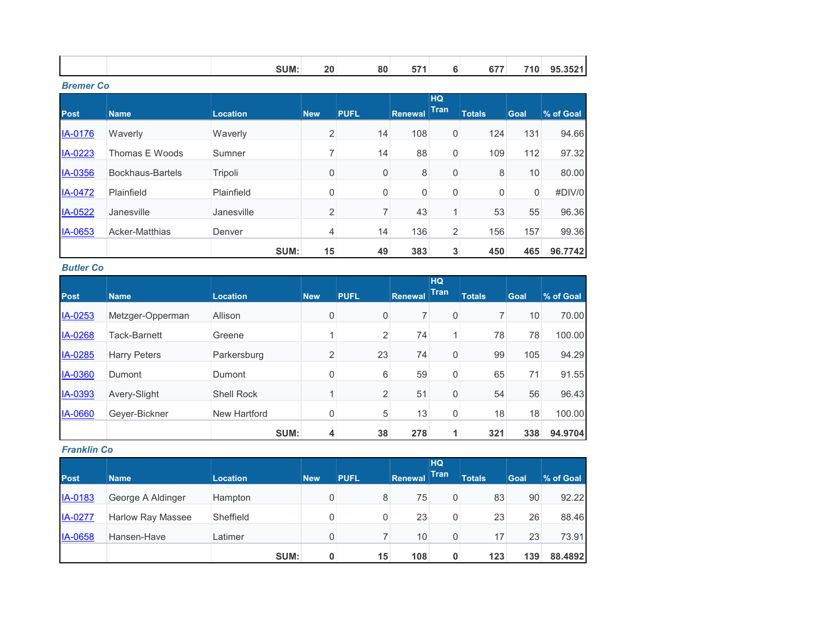|--|

*Bremer Co*

|                |                  |                 |            |             |                | <b>HQ</b>    |               |             |           |
|----------------|------------------|-----------------|------------|-------------|----------------|--------------|---------------|-------------|-----------|
| <b>Post</b>    | <b>Name</b>      | <b>Location</b> | <b>New</b> | <b>PUFL</b> | <b>Renewal</b> | <b>Tran</b>  | <b>Totals</b> | <b>Goal</b> | % of Goal |
| <b>IA-0176</b> | Waverly          | Waverly         | 2          | 14          | 108            | 0            | 124           | 131         | 94.66     |
| IA-0223        | Thomas E Woods   | Sumner          |            | 14          | 88             | 0            | 109           | 112         | 97.32     |
| IA-0356        | Bockhaus-Bartels | Tripoli         | 0          | 0           | 8              | 0            | 8             | 10          | 80.00     |
| IA-0472        | Plainfield       | Plainfield      | 0          | 0           | 0              | 0            | 0             | 0           | #DIV/0    |
| IA-0522        | Janesville       | Janesville      | 2          | 7           | 43             | $\mathbf{1}$ | 53            | 55          | 96.36     |
| <b>IA-0653</b> | Acker-Matthias   | Denver          | 4          | 14          | 136            | 2            | 156           | 157         | 99.36     |
|                |                  | SUM:            | 15         | 49          | 383            | 3            | 450           | 465         | 96.7742   |

*Butler Co*

| <b>Post</b>    | <b>Name</b>         | <b>Location</b>   | <b>New</b>     | <b>PUFL</b>    | <b>Renewal</b> | <b>HQ</b><br><b>Tran</b> | <b>Totals</b> | <b>Goal</b> | % of Goal |
|----------------|---------------------|-------------------|----------------|----------------|----------------|--------------------------|---------------|-------------|-----------|
| IA-0253        | Metzger-Opperman    | Allison           | 0              | 0              |                | 0                        |               | 10          | 70.00     |
| IA-0268        | Tack-Barnett        | Greene            | и              | $\overline{2}$ | 74             | 1.                       | 78            | 78          | 100.00    |
| IA-0285        | <b>Harry Peters</b> | Parkersburg       | $\overline{2}$ | 23             | 74             | 0                        | 99            | 105         | 94.29     |
| <b>IA-0360</b> | Dumont              | Dumont            | $\mathbf 0$    | 6              | 59             | 0                        | 65            | 71          | 91.55     |
| IA-0393        | Avery-Slight        | <b>Shell Rock</b> | и              | $\overline{2}$ | 51             | 0                        | 54            | 56          | 96.43     |
| <b>IA-0660</b> | Gever-Bickner       | New Hartford      | $\mathbf 0$    | 5              | 13             | 0                        | 18            | 18          | 100.00    |
|                |                     | SUM:              | 4              | 38             | 278            |                          | 321           | 338         | 94.9704   |

*Franklin Co*

| <b>Post</b>    | <b>Name</b>              | <b>Location</b> | <b>New</b> | <b>PUFL</b> | Renewal | HQ<br>Tran | <b>Totals</b> | Goal | % of Goal |
|----------------|--------------------------|-----------------|------------|-------------|---------|------------|---------------|------|-----------|
| IA-0183        | George A Aldinger        | Hampton         | 0          | 8           | 75      | 0          | 83            | 90   | 92.22     |
| <b>IA-0277</b> | <b>Harlow Ray Massee</b> | Sheffield       | 0          | 0           | 23      | 0          | 23            | 26   | 88.46     |
| IA-0658        | Hansen-Have              | Latimer         | 0          |             | 10      | 0          | 17            | 23   | 73.91     |
|                |                          | SUM:            | $\bf{0}$   | 15          | 108     | 0          | 123           | 139  | 88.4892   |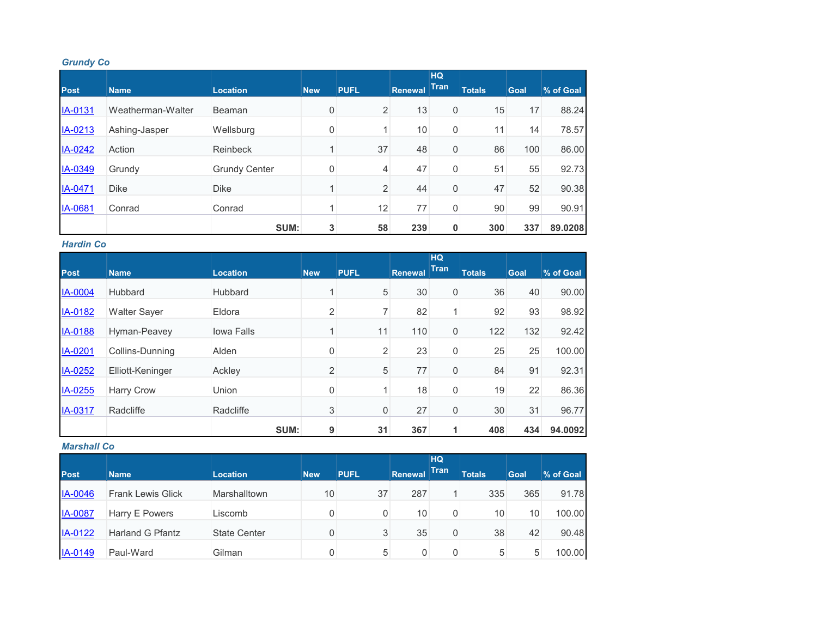## *Grundy Co*

|                |                   |                      |            |                |                | <b>HQ</b>   |               |             |           |
|----------------|-------------------|----------------------|------------|----------------|----------------|-------------|---------------|-------------|-----------|
| <b>Post</b>    | <b>Name</b>       | <b>Location</b>      | <b>New</b> | <b>PUFL</b>    | <b>Renewal</b> | <b>Tran</b> | <b>Totals</b> | <b>Goal</b> | % of Goal |
| IA-0131        | Weatherman-Walter | Beaman               | 0          | 2              | 13             | 0           | 15            | 17          | 88.24     |
| IA-0213        | Ashing-Jasper     | Wellsburg            | 0          |                | 10             | 0           | 11            | 14          | 78.57     |
| IA-0242        | Action            | Reinbeck             | 1          | 37             | 48             | 0           | 86            | 100         | 86.00     |
| IA-0349        | Grundy            | <b>Grundy Center</b> | 0          | 4              | 47             | 0           | 51            | 55          | 92.73     |
| IA-0471        | <b>Dike</b>       | <b>Dike</b>          | 4          | $\overline{c}$ | 44             | 0           | 47            | 52          | 90.38     |
| <b>IA-0681</b> | Conrad            | Conrad               |            | 12             | 77             | 0           | 90            | 99          | 90.91     |
|                |                   | SUM:                 | 3          | 58             | 239            | 0           | 300           | 337         | 89.0208   |

#### *Hardin Co*

|             |                     |                 |                |                |         | <b>HQ</b><br><b>Tran</b> |               |      |           |
|-------------|---------------------|-----------------|----------------|----------------|---------|--------------------------|---------------|------|-----------|
| <b>Post</b> | <b>Name</b>         | <b>Location</b> | <b>New</b>     | <b>PUFL</b>    | Renewal |                          | <b>Totals</b> | Goal | % of Goal |
| IA-0004     | Hubbard             | Hubbard         | 4              | 5              | 30      | 0                        | 36            | 40   | 90.00     |
| IA-0182     | <b>Walter Sayer</b> | Eldora          | $\overline{2}$ | 7              | 82      |                          | 92            | 93   | 98.92     |
| IA-0188     | Hyman-Peavey        | Iowa Falls      | $\overline{A}$ | 11             | 110     | 0                        | 122           | 132  | 92.42     |
| IA-0201     | Collins-Dunning     | Alden           | 0              | $\overline{2}$ | 23      | 0                        | 25            | 25   | 100.00    |
| IA-0252     | Elliott-Keninger    | Ackley          | $\overline{2}$ | 5              | 77      | 0                        | 84            | 91   | 92.31     |
| IA-0255     | <b>Harry Crow</b>   | Union           | 0              |                | 18      | 0                        | 19            | 22   | 86.36     |
| IA-0317     | Radcliffe           | Radcliffe       | 3              | 0              | 27      | 0                        | 30            | 31   | 96.77     |
|             |                     | SUM:            | 9              | 31             | 367     |                          | 408           | 434  | 94.0092   |

## *Marshall Co*

|                |                          |                     |            |             |         | HQ          |               |             |           |
|----------------|--------------------------|---------------------|------------|-------------|---------|-------------|---------------|-------------|-----------|
| <b>Post</b>    | <b>Name</b>              | <b>Location</b>     | <b>New</b> | <b>PUFL</b> | Renewal | <b>Tran</b> | <b>Totals</b> | <b>Goal</b> | % of Goal |
| <b>IA-0046</b> | <b>Frank Lewis Glick</b> | Marshalltown        | 10         | 37          | 287     |             | 335           | 365         | 91.78     |
| <b>IA-0087</b> | Harry E Powers           | Liscomb             |            | 0           | 10      | 0           | 10            | 10          | 100.00    |
| IA-0122        | <b>Harland G Pfantz</b>  | <b>State Center</b> |            | 3           | 35      | 0           | 38            | 42          | 90.48     |
| IA-0149        | Paul-Ward                | Gilman              |            | 5           | 0       | 0           | 5             | 5           | 100.00    |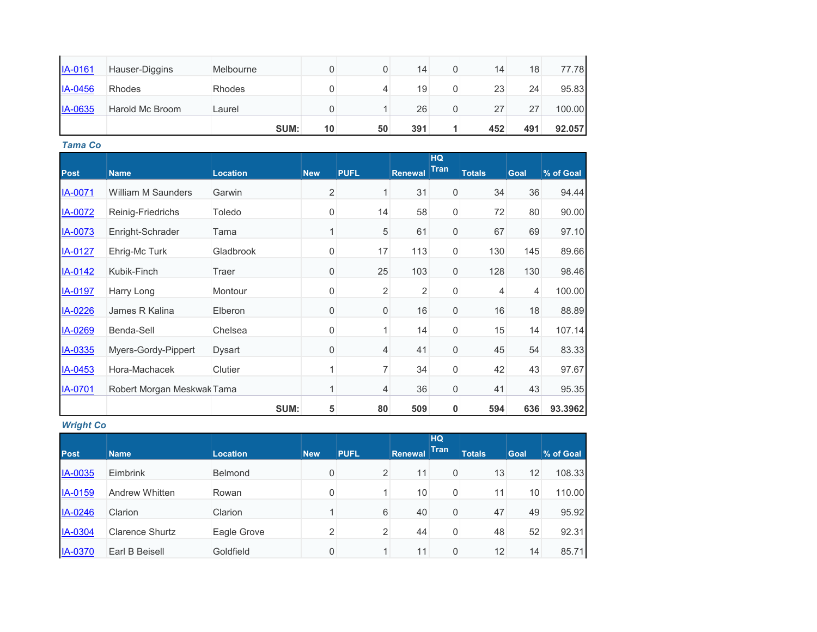| IA-0161        | Hauser-Diggins  | Melbourne |    | O  | 14  | 0 | 14  | 18  | 77.78  |
|----------------|-----------------|-----------|----|----|-----|---|-----|-----|--------|
| IA-0456        | Rhodes          | Rhodes    |    | 4  | 19  | 0 | 23  | 24  | 95.83  |
| <b>IA-0635</b> | Harold Mc Broom | Laurel    |    |    | 26  | 0 | 27  | 27  | 100.00 |
|                |                 | SUM:      | 10 | 50 | 391 |   | 452 | 491 | 92.057 |

*Tama Co*

|                |                            |                 |              |                  |                | <b>HQ</b>   |               |             |           |
|----------------|----------------------------|-----------------|--------------|------------------|----------------|-------------|---------------|-------------|-----------|
| <b>Post</b>    | <b>Name</b>                | <b>Location</b> | <b>New</b>   | <b>PUFL</b>      | <b>Renewal</b> | <b>Tran</b> | <b>Totals</b> | <b>Goal</b> | % of Goal |
| <b>IA-0071</b> | <b>William M Saunders</b>  | Garwin          | 2            | 1                | 31             | 0           | 34            | 36          | 94.44     |
| <b>IA-0072</b> | Reinig-Friedrichs          | Toledo          | 0            | 14               | 58             | 0           | 72            | 80          | 90.00     |
| IA-0073        | Enright-Schrader           | Tama            | 1            | 5                | 61             | 0           | 67            | 69          | 97.10     |
| <b>IA-0127</b> | Ehrig-Mc Turk              | Gladbrook       | $\mathbf 0$  | 17               | 113            | 0           | 130           | 145         | 89.66     |
| <b>IA-0142</b> | Kubik-Finch                | Traer           | 0            | 25               | 103            | 0           | 128           | 130         | 98.46     |
| <b>IA-0197</b> | Harry Long                 | Montour         | $\mathbf 0$  | $\overline{2}$   | 2              | 0           | 4             | 4           | 100.00    |
| IA-0226        | James R Kalina             | Elberon         | $\mathbf{0}$ | $\boldsymbol{0}$ | 16             | 0           | 16            | 18          | 88.89     |
| IA-0269        | Benda-Sell                 | Chelsea         | 0            | 1                | 14             | 0           | 15            | 14          | 107.14    |
| IA-0335        | Myers-Gordy-Pippert        | Dysart          | 0            | 4                | 41             | 0           | 45            | 54          | 83.33     |
| IA-0453        | Hora-Machacek              | Clutier         | 1            | 7                | 34             | 0           | 42            | 43          | 97.67     |
| <b>IA-0701</b> | Robert Morgan Meskwak Tama |                 | 1            | 4                | 36             | 0           | 41            | 43          | 95.35     |
|                |                            | SUM:            | 5            | 80               | 509            | 0           | 594           | 636         | 93.3962   |

*Wright Co*

| <b>Post</b>    | <b>Name</b>            | <b>Location</b> | <b>New</b>     | <b>PUFL</b>    | Renewal         | <b>HQ</b><br><b>Tran</b> | <b>Totals</b> | <b>Goal</b> | % of Goal |
|----------------|------------------------|-----------------|----------------|----------------|-----------------|--------------------------|---------------|-------------|-----------|
| IA-0035        | Eimbrink               | <b>Belmond</b>  | 0              | 2              | 11              | 0                        | 13            | 12          | 108.33    |
| IA-0159        | Andrew Whitten         | Rowan           | 0              |                | 10 <sub>1</sub> | 0                        | 11            | 10          | 110.00    |
| IA-0246        | Clarion                | Clarion         |                | 6              | 40              | 0                        | 47            | 49          | 95.92     |
| <b>IA-0304</b> | <b>Clarence Shurtz</b> | Eagle Grove     | $\overline{2}$ | $\overline{2}$ | 44              | 0                        | 48            | 52          | 92.31     |
| <b>IA-0370</b> | Earl B Beisell         | Goldfield       | 0              |                | 11              | 0                        | 12            | 14          | 85.71     |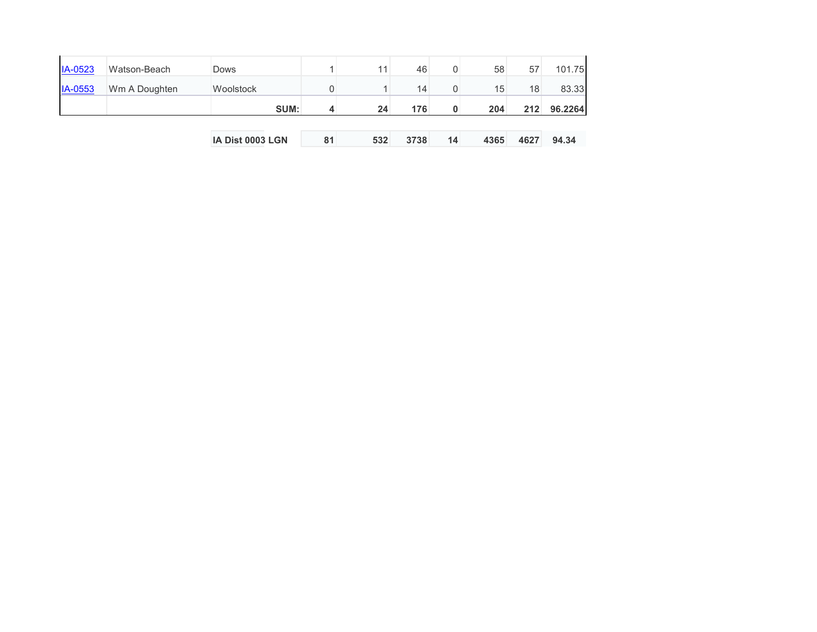|                |               | IA Dist 0003 LGN | 81 | 532             | 3738 | 14 | 4365 | 4627 | 94.34   |
|----------------|---------------|------------------|----|-----------------|------|----|------|------|---------|
|                |               |                  |    |                 |      |    |      |      |         |
|                |               | SUM:             | 4  | 24              | 176  | 0  | 204  | 212  | 96.2264 |
| IA-0553        | Wm A Doughten | Woolstock        |    |                 | 14   | 0  | 15   | 18   | 83.33   |
| <b>IA-0523</b> | Watson-Beach  | <b>Dows</b>      |    | 11 <sub>1</sub> | 46   | 0  | 58   | 57   | 101.75  |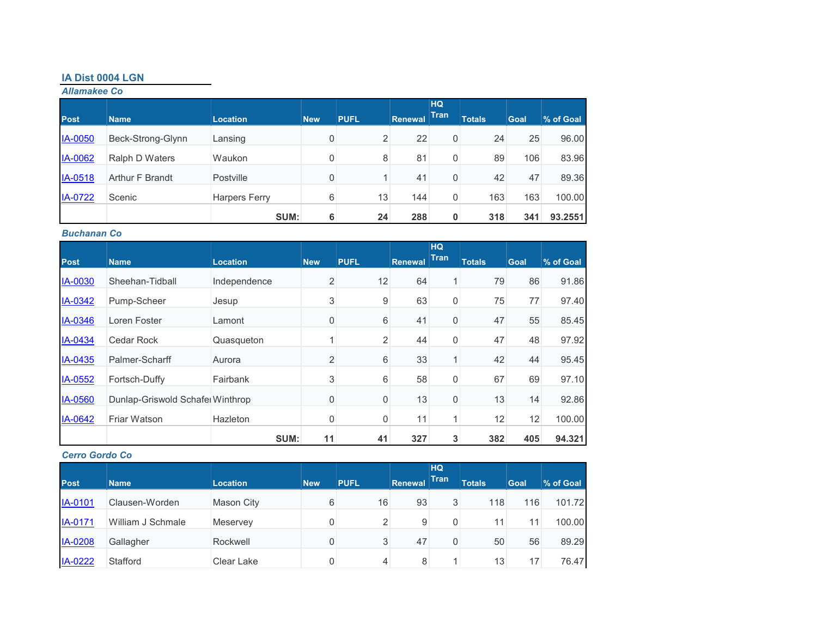## **IA Dist 0004 LGN**

*Allamakee Co*

| <b>Post</b>    | <b>Name</b>       | <b>Location</b>      | <b>New</b> | <b>PUFL</b>    | <b>Renewal</b> | <b>HQ</b><br><b>Tran</b> | <b>Totals</b> | Goal | % of Goal |
|----------------|-------------------|----------------------|------------|----------------|----------------|--------------------------|---------------|------|-----------|
|                |                   |                      |            |                |                |                          |               |      |           |
| <b>IA-0050</b> | Beck-Strong-Glynn | Lansing              | 0          | $\overline{2}$ | 22             | 0                        | 24            | 25   | 96.00     |
| <b>IA-0062</b> | Ralph D Waters    | Waukon               | 0          | 8              | 81             | 0                        | 89            | 106  | 83.96     |
| IA-0518        | Arthur F Brandt   | Postville            | 0          |                | 41             | 0                        | 42            | 47   | 89.36     |
| <b>IA-0722</b> | Scenic            | <b>Harpers Ferry</b> | 6          | 13             | 144            | 0                        | 163           | 163  | 100.00    |
|                |                   | SUM:                 | 6          | 24             | 288            | $\mathbf 0$              | 318           | 341  | 93.2551   |

#### *Buchanan Co*

| <b>Post</b>    |                                  |                 |                | <b>PUFL</b>    | <b>Renewal</b> | <b>HQ</b><br><b>Tran</b> | <b>Totals</b> |      | % of Goal |
|----------------|----------------------------------|-----------------|----------------|----------------|----------------|--------------------------|---------------|------|-----------|
|                | <b>Name</b>                      | <b>Location</b> | <b>New</b>     |                |                |                          |               | Goal |           |
| IA-0030        | Sheehan-Tidball                  | Independence    | $\overline{2}$ | 12             | 64             |                          | 79            | 86   | 91.86     |
| IA-0342        | Pump-Scheer                      | Jesup           | 3              | 9              | 63             | 0                        | 75            | 77   | 97.40     |
| IA-0346        | Loren Foster                     | Lamont          | 0              | 6              | 41             | 0                        | 47            | 55   | 85.45     |
| IA-0434        | Cedar Rock                       | Quasqueton      |                | $\overline{2}$ | 44             | 0                        | 47            | 48   | 97.92     |
| IA-0435        | Palmer-Scharff                   | Aurora          | $\overline{2}$ | 6              | 33             | $\mathbf{1}$             | 42            | 44   | 95.45     |
| IA-0552        | Fortsch-Duffy                    | Fairbank        | 3              | 6              | 58             | 0                        | 67            | 69   | 97.10     |
| <b>IA-0560</b> | Dunlap-Griswold Schafel Winthrop |                 | 0              | $\mathbf 0$    | 13             | 0                        | 13            | 14   | 92.86     |
| IA-0642        | Friar Watson                     | <b>Hazleton</b> | 0              | $\overline{0}$ | 11             |                          | 12            | 12   | 100.00    |
|                |                                  | SUM:            | 11             | 41             | 327            | 3                        | 382           | 405  | 94.321    |

## *Cerro Gordo Co*

| <b>Post</b>    | <b>Name</b>       | <b>Location</b>   | <b>New</b> | <b>PUFL</b> | Renewal | <b>HQ</b><br><b>Tran</b> | <b>Totals</b> | <b>Goal</b> | % of Goal |
|----------------|-------------------|-------------------|------------|-------------|---------|--------------------------|---------------|-------------|-----------|
| <b>IA-0101</b> | Clausen-Worden    | <b>Mason City</b> | 6          | 16          | 93      | 3                        | 118           | 116         | 101.72    |
| <b>IA-0171</b> | William J Schmale | Meservey          | 0          | 2           | 9       | 0                        | 11            | 11          | 100.00    |
| <b>IA-0208</b> | Gallagher         | Rockwell          | 0          | 3           | 47      | 0                        | 50            | 56          | 89.29     |
| IA-0222        | Stafford          | Clear Lake        | 0          | 4           | 8       |                          | 13            | 17          | 76.47     |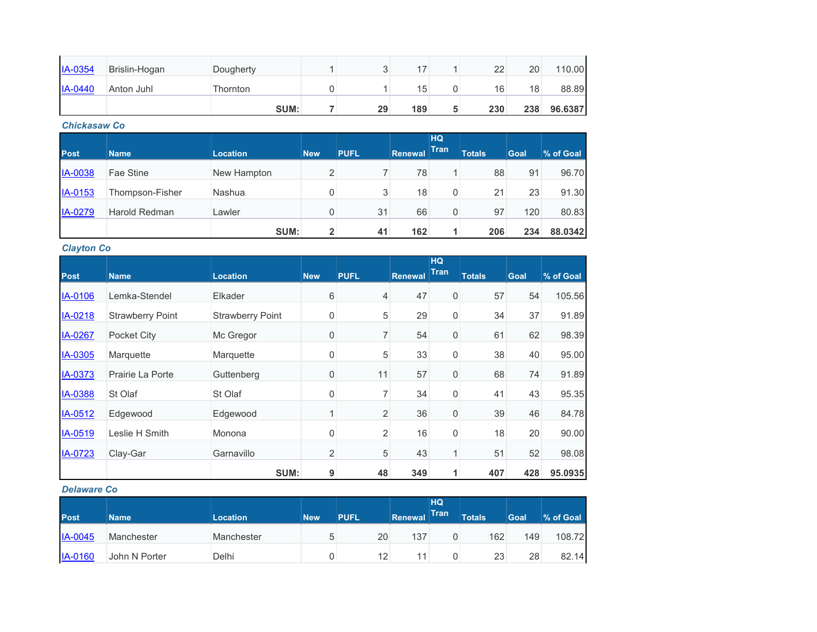| $IA-0354$      | Brislin-Hogan | Dougherty |    | 17  |   | 22  | 20  | 110.00  |
|----------------|---------------|-----------|----|-----|---|-----|-----|---------|
| <b>IA-0440</b> | Anton Juhl    | Thornton  |    | 15  |   | 16  | 18  | 88.89   |
|                |               | SUM:      | 29 | 189 | 5 | 230 | 238 | 96.6387 |

#### *Chickasaw Co*

|                |                 |                 |                |             |         | <b>HQ</b>   |               |             |           |
|----------------|-----------------|-----------------|----------------|-------------|---------|-------------|---------------|-------------|-----------|
| Post           | <b>Name</b>     | <b>Location</b> | <b>New</b>     | <b>PUFL</b> | Renewal | <b>Tran</b> | <b>Totals</b> | <b>Goal</b> | % of Goal |
| <b>IA-0038</b> | Fae Stine       | New Hampton     | 2              |             | 78      |             | 88            | 91          | 96.70     |
| IA-0153        | Thompson-Fisher | Nashua          | 0              | 3           | 18      | 0           | 21            | 23          | 91.30     |
| IA-0279        | Harold Redman   | Lawler          | 0              | 31          | 66      | 0           | 97            | 120         | 80.83     |
|                |                 | SUM:            | $\overline{2}$ | 41          | 162     | 1.          | 206           | 234         | 88.0342   |

*Clayton Co*

|             |                         |                         |                |                |                | HQ               |               |             |           |
|-------------|-------------------------|-------------------------|----------------|----------------|----------------|------------------|---------------|-------------|-----------|
| <b>Post</b> | <b>Name</b>             | <b>Location</b>         | <b>New</b>     | <b>PUFL</b>    | <b>Renewal</b> | <b>Tran</b>      | <b>Totals</b> | <b>Goal</b> | % of Goal |
| IA-0106     | Lemka-Stendel           | Elkader                 | 6              | 4              | 47             | $\mathbf 0$      | 57            | 54          | 105.56    |
| IA-0218     | <b>Strawberry Point</b> | <b>Strawberry Point</b> | 0              | 5              | 29             | 0                | 34            | 37          | 91.89     |
| IA-0267     | Pocket City             | Mc Gregor               | $\mathbf 0$    | $\overline{7}$ | 54             | $\boldsymbol{0}$ | 61            | 62          | 98.39     |
| IA-0305     | Marquette               | Marquette               | 0              | 5              | 33             | 0                | 38            | 40          | 95.00     |
| IA-0373     | Prairie La Porte        | Guttenberg              | $\mathbf 0$    | 11             | 57             | 0                | 68            | 74          | 91.89     |
| IA-0388     | St Olaf                 | St Olaf                 | 0              | 7              | 34             | 0                | 41            | 43          | 95.35     |
| IA-0512     | Edgewood                | Edgewood                | 1              | $\overline{c}$ | 36             | 0                | 39            | 46          | 84.78     |
| IA-0519     | Leslie H Smith          | Monona                  | $\mathbf 0$    | $\overline{2}$ | 16             | 0                | 18            | 20          | 90.00     |
| IA-0723     | Clay-Gar                | Garnavillo              | $\overline{2}$ | 5              | 43             | 1                | 51            | 52          | 98.08     |
|             |                         | SUM:                    | 9              | 48             | 349            | 1                | 407           | 428         | 95.0935   |

#### *Delaware Co*

| <b>Post</b>    | <b>Name</b>   | <b>Location</b> | <b>New</b> | <b>PUFL</b>     | Renewal | HQ<br>Tran | <b>Totals</b> | <b>Goal</b> | % of Goal |
|----------------|---------------|-----------------|------------|-----------------|---------|------------|---------------|-------------|-----------|
| <b>IA-0045</b> | Manchester    | Manchester      | b          | 20              | 137     |            | 162           | 149         | 108.72    |
| <b>IA-0160</b> | John N Porter | Delhi           |            | 12 <sub>1</sub> | 11      |            | 23            | 28          | 82.14     |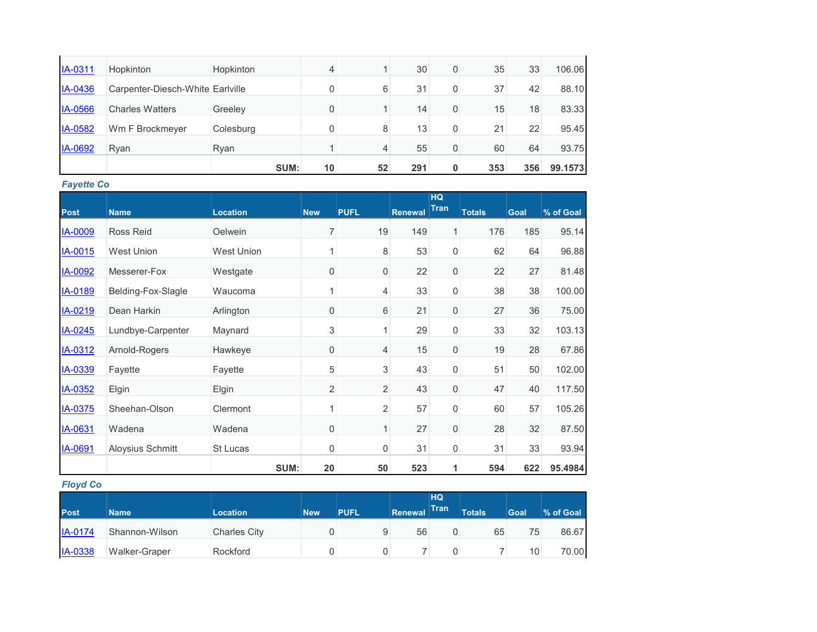|                |                                  | SUM:      | 10       | 52 | 291 | 0           | 353 | 356 | 99.1573 |
|----------------|----------------------------------|-----------|----------|----|-----|-------------|-----|-----|---------|
| IA-0692        | Ryan                             | Ryan      |          | 4  | 55  | $\mathbf 0$ | 60  | 64  | 93.75   |
| <b>IA-0582</b> | Wm F Brockmeyer                  | Colesburg |          | 8  | 13  | $\mathbf 0$ | 21  | 22  | 95.45   |
| <b>IA-0566</b> | <b>Charles Watters</b>           | Greeley   | $\Omega$ |    | 14  | $\mathbf 0$ | 15  | 18  | 83.33   |
| IA-0436        | Carpenter-Diesch-White Earlyille |           |          | 6  | 31  | $\mathbf 0$ | 37  | 42  | 88.10   |
| IA-0311        | Hopkinton                        | Hopkinton | 4        |    | 30  | $\mathbf 0$ | 35  | 33  | 106.06  |

*Fayette Co*

|                |                    |                 |                     |             |                | <b>HQ</b>   |               |             |           |
|----------------|--------------------|-----------------|---------------------|-------------|----------------|-------------|---------------|-------------|-----------|
| Post           | <b>Name</b>        | <b>Location</b> | <b>New</b>          | <b>PUFL</b> | <b>Renewal</b> | <b>Tran</b> | <b>Totals</b> | <b>Goal</b> | % of Goal |
| IA-0009        | Ross Reid          | Oelwein         | 7                   | 19          | 149            | 1           | 176           | 185         | 95.14     |
| IA-0015        | <b>West Union</b>  | West Union      | 1                   | 8           | 53             | 0           | 62            | 64          | 96.88     |
| <b>IA-0092</b> | Messerer-Fox       | Westgate        | $\boldsymbol{0}$    | 0           | 22             | $\mathbf 0$ | 22            | 27          | 81.48     |
| IA-0189        | Belding-Fox-Slagle | Waucoma         | 1                   | 4           | 33             | 0           | 38            | 38          | 100.00    |
| IA-0219        | Dean Harkin        | Arlington       | $\mathbf 0$         | 6           | 21             | $\mathsf 0$ | 27            | 36          | 75.00     |
| IA-0245        | Lundbye-Carpenter  | Maynard         | 3                   | 1           | 29             | 0           | 33            | 32          | 103.13    |
| IA-0312        | Arnold-Rogers      | Hawkeye         | $\mathsf{O}\xspace$ | 4           | 15             | $\mathbf 0$ | 19            | 28          | 67.86     |
| IA-0339        | Fayette            | Fayette         | 5                   | 3           | 43             | 0           | 51            | 50          | 102.00    |
| IA-0352        | Elgin              | Elgin           | $\overline{2}$      | 2           | 43             | $\mathbf 0$ | 47            | 40          | 117.50    |
| <b>IA-0375</b> | Sheehan-Olson      | Clermont        | 1                   | 2           | 57             | 0           | 60            | 57          | 105.26    |
| IA-0631        | Wadena             | Wadena          | 0                   | 1           | 27             | 0           | 28            | 32          | 87.50     |
| IA-0691        | Aloysius Schmitt   | St Lucas        | 0                   | 0           | 31             | 0           | 31            | 33          | 93.94     |
|                |                    | SUM:            | 20                  | 50          | 523            | 1           | 594           | 622         | 95.4984   |

*Floyd Co*

|             |                |                     |            |             |                | HQ <sup>1</sup> |               |      |           |
|-------------|----------------|---------------------|------------|-------------|----------------|-----------------|---------------|------|-----------|
| <b>Post</b> | <b>Name</b>    | <b>Location</b>     | <b>New</b> | <b>PUFL</b> | <b>Renewal</b> | <b>Tran</b>     | <b>Totals</b> | Goal | % of Goal |
| IA-0174     | Shannon-Wilson | <b>Charles City</b> |            | 9           | 56             |                 | 65            | 75   | 86.67     |
| IA-0338     | Walker-Graper  | Rockford            |            | 0           |                |                 |               | 10   | 70.00     |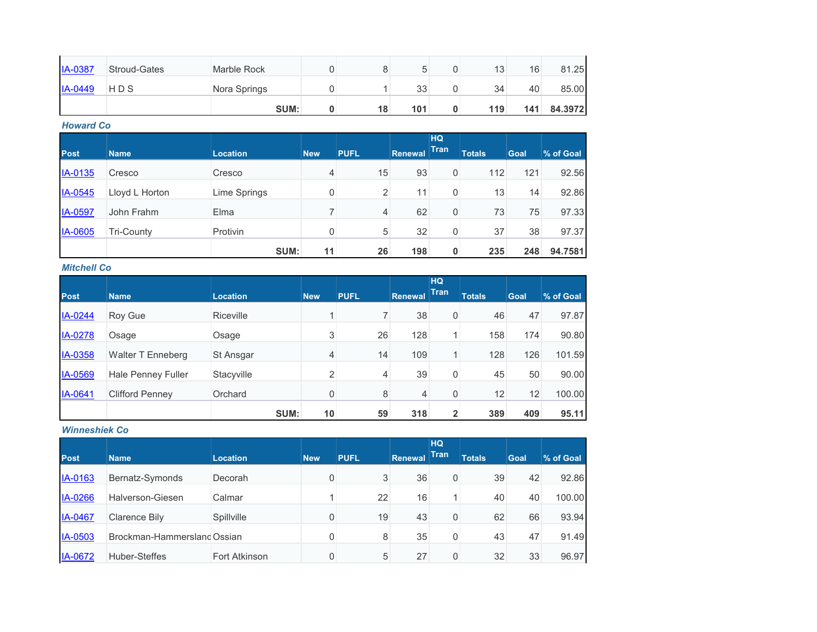| <b>IA-0387</b> | <b>Stroud-Gates</b> | <b>Marble Rock</b> |    |     |   | 13  | 16  | 81.25   |
|----------------|---------------------|--------------------|----|-----|---|-----|-----|---------|
| $IA-0449$      | HDS                 | Nora Springs       |    | 33  |   | 34  | 40  | 85.00   |
|                |                     | SUM:               | 18 | 101 | 0 | 119 | 141 | 84.3972 |

*Howard Co*

| <b>Post</b>    | <b>Name</b>       | <b>Location</b> | <b>New</b> | <b>PUFL</b> | <b>Renewal</b> | <b>HQ</b><br><b>Tran</b> | <b>Totals</b> | Goal | % of Goal |
|----------------|-------------------|-----------------|------------|-------------|----------------|--------------------------|---------------|------|-----------|
| IA-0135        | Cresco            | Cresco          | 4          | 15          | 93             | 0                        | 112           | 121  | 92.56     |
| IA-0545        | Lloyd L Horton    | Lime Springs    | 0          | 2           | 11             | 0                        | 13            | 14   | 92.86     |
| IA-0597        | John Frahm        | Elma            | ⇁          | 4           | 62             | 0                        | 73            | 75   | 97.33     |
| <b>IA-0605</b> | <b>Tri-County</b> | Protivin        | 0          | 5           | 32             | 0                        | 37            | 38   | 97.37     |
|                |                   | SUM:            | 11         | 26          | 198            | 0                        | 235           | 248  | 94.7581   |

*Mitchell Co*

| <b>Post</b> | <b>Name</b>               | <b>Location</b>  | <b>New</b> | <b>PUFL</b> | Renewal | <b>HQ</b><br><b>Tran</b> | <b>Totals</b> | <b>Goal</b> | % of Goal |
|-------------|---------------------------|------------------|------------|-------------|---------|--------------------------|---------------|-------------|-----------|
| IA-0244     | Roy Gue                   | <b>Riceville</b> | -4         | 7           | 38      | 0                        | 46            | 47          | 97.87     |
| IA-0278     | Osage                     | Osage            | 3          | 26          | 128     | 1 <sub>1</sub>           | 158           | 174         | 90.80     |
| IA-0358     | Walter T Enneberg         | St Ansgar        | 4          | 14          | 109     | $\mathbf{1}$             | 128           | 126         | 101.59    |
| IA-0569     | <b>Hale Penney Fuller</b> | Stacyville       | 2          | 4           | 39      | 0                        | 45            | 50          | 90.00     |
| IA-0641     | <b>Clifford Penney</b>    | Orchard          | 0          | 8           | 4       | 0                        | 12            | 12          | 100.00    |
|             |                           | SUM:             | 10         | 59          | 318     | $\overline{2}$           | 389           | 409         | 95.11     |

## *Winneshiek Co*

| <b>Post</b> | <b>Name</b>                 | <b>Location</b> | <b>New</b> | <b>PUFL</b> | <b>Renewal</b> | <b>HQ</b><br><b>Tran</b> | <b>Totals</b> | <b>Goal</b> | % of Goal |
|-------------|-----------------------------|-----------------|------------|-------------|----------------|--------------------------|---------------|-------------|-----------|
| IA-0163     | Bernatz-Symonds             | Decorah         | 0          | 3           | 36             | 0                        | 39            | 42          | 92.86     |
| IA-0266     | Halverson-Giesen            | Calmar          |            | 22          | 16             |                          | 40            | 40          | 100.00    |
| IA-0467     | <b>Clarence Bily</b>        | Spillville      | 0          | 19          | 43             | 0                        | 62            | 66          | 93.94     |
| IA-0503     | Brockman-Hammersland Ossian |                 | 0          | 8           | 35             | 0                        | 43            | 47          | 91.49     |
| IA-0672     | Huber-Steffes               | Fort Atkinson   | 0          | 5           | 27             | 0                        | 32            | 33          | 96.97     |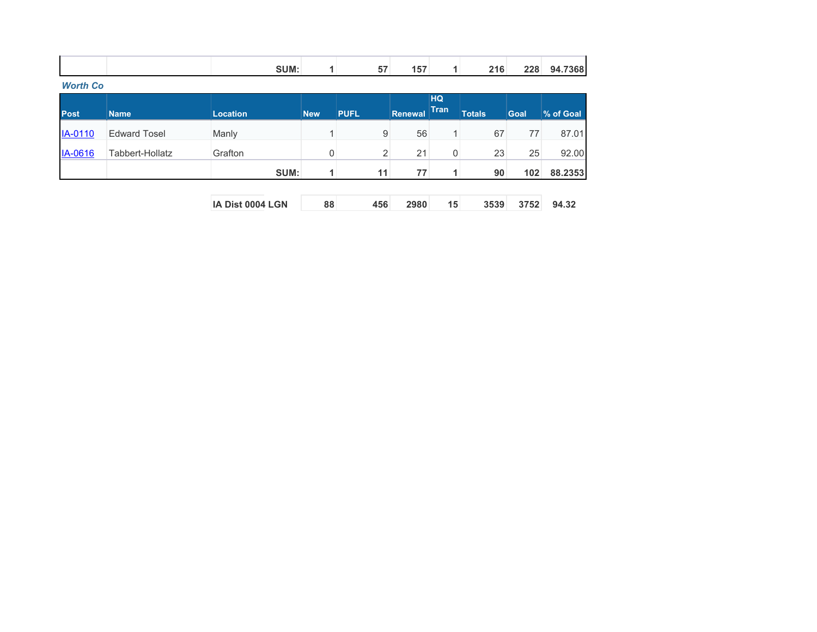| <b>SUM:</b> | -- | 157 | 216 | 228 | 94.7368 |
|-------------|----|-----|-----|-----|---------|
|             |    |     |     |     |         |

*Worth Co*

| <b>Post</b>    | <b>Name</b>         | <b>Location</b> | <b>New</b> | <b>PUFL</b> | Renewal | <b>HQ</b><br><b>Tran</b> | <b>Totals</b> | <b>Goal</b>      | % of Goal |
|----------------|---------------------|-----------------|------------|-------------|---------|--------------------------|---------------|------------------|-----------|
| <b>IA-0110</b> | <b>Edward Tosel</b> | Manly           |            | 9           | 56      |                          | 67            | 77               | 87.01     |
| IA-0616        | Tabbert-Hollatz     | Grafton         | 0          | 2           | 21      | $\overline{0}$           | 23            | 25               | 92.00     |
|                |                     | SUM:            |            | 11          | 77      | -1.                      | 90            | 102 <sub>1</sub> | 88.2353   |

| <b>IA Dist 0004 LGN</b> |  | 456 2980 |  | 3539 3752 94.32 |  |
|-------------------------|--|----------|--|-----------------|--|
|                         |  |          |  |                 |  |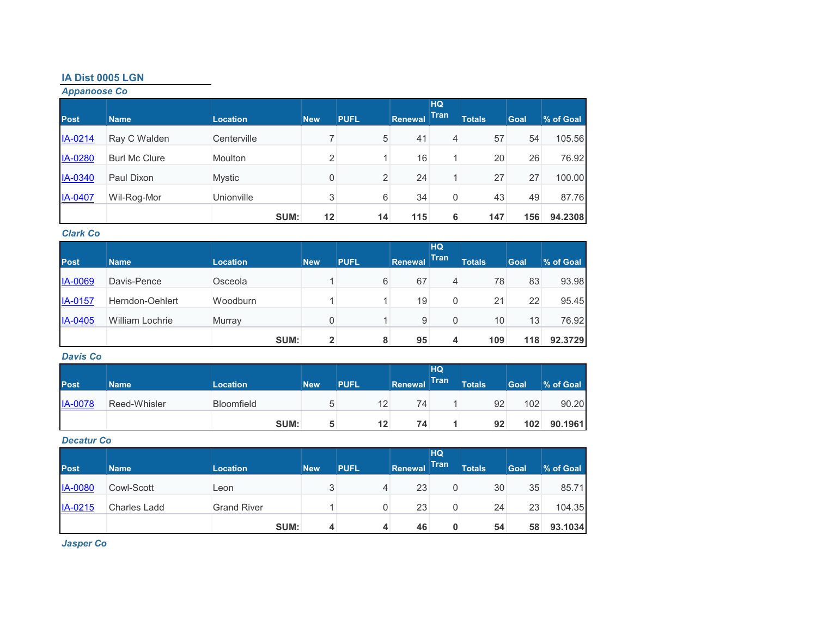## **IA Dist 0005 LGN**

*Appanoose Co*

|             |                      |                 |            |             |                | <b>HQ</b><br><b>Tran</b> |               |      |           |
|-------------|----------------------|-----------------|------------|-------------|----------------|--------------------------|---------------|------|-----------|
| <b>Post</b> | <b>Name</b>          | <b>Location</b> | <b>New</b> | <b>PUFL</b> | <b>Renewal</b> |                          | <b>Totals</b> | Goal | % of Goal |
| IA-0214     | Ray C Walden         | Centerville     | ⇁          | 5           | 41             | 4                        | 57            | 54   | 105.56    |
| IA-0280     | <b>Burl Mc Clure</b> | <b>Moulton</b>  | 2          |             | 16             |                          | 20            | 26   | 76.92     |
| IA-0340     | Paul Dixon           | Mystic          | 0          | 2           | 24             | 4                        | 27            | 27   | 100.00    |
| IA-0407     | Wil-Rog-Mor          | Unionville      | 3          | 6           | 34             | 0                        | 43            | 49   | 87.76     |
|             |                      | SUM:            | 12         | 14          | 115            | 6                        | 147           | 156  | 94.2308   |

## *Clark Co*

| <b>Post</b> | <b>Name</b>            | <b>Location</b> | New | <b>PUFL</b> | Renewal | <b>HQ</b><br><b>Tran</b> | <b>Totals</b> | <b>Goal</b> | % of Goal |
|-------------|------------------------|-----------------|-----|-------------|---------|--------------------------|---------------|-------------|-----------|
| IA-0069     | Davis-Pence            | Osceola         |     | 6           | 67      | 4                        | 78            | 83          | 93.98     |
| IA-0157     | Herndon-Oehlert        | Woodburn        |     |             | 19      | 0                        | 21            | 22          | 95.45     |
| IA-0405     | <b>William Lochrie</b> | Murray          |     |             | 9       | 0                        | 10            | 13          | 76.92     |
|             |                        | SUM:            | 2   | 8           | 95      | 4                        | 109           | 118         | 92.3729   |

## *Davis Co*

| <b>Post</b>    | <b>Name</b>  | <b>Location</b>   | <b>New</b> | <b>PUFL</b> | Renewal | HQ<br>Tran | <b>Totals</b> | Goal | % of Goal |
|----------------|--------------|-------------------|------------|-------------|---------|------------|---------------|------|-----------|
| <b>IA-0078</b> | Reed-Whisler | <b>Bloomfield</b> | 5          | 12          | 74      |            | 92            | 102  | 90.20     |
|                |              | SUM:              | 5          | 12          | 74      |            | 92            | 102  | 90.1961   |

#### *Decatur Co*

| <b>Post</b>    | <b>Name</b>         | <b>Location</b>    | <b>New</b> | <b>PUFL</b> | Renewal | <b>HQ</b><br><b>Tran</b> | <b>Totals</b> | Goal | % of Goal |
|----------------|---------------------|--------------------|------------|-------------|---------|--------------------------|---------------|------|-----------|
| <b>IA-0080</b> | Cowl-Scott          | Leon               | 3          | 4           | 23      | 0                        | 30            | 35   | 85.71     |
| IA-0215        | <b>Charles Ladd</b> | <b>Grand River</b> |            |             | 23      | 0                        | 24            | 23   | 104.35    |
|                |                     | SUM:               | 4          |             | 46      | 0                        | 54            | 58   | 93.1034   |

*Jasper Co*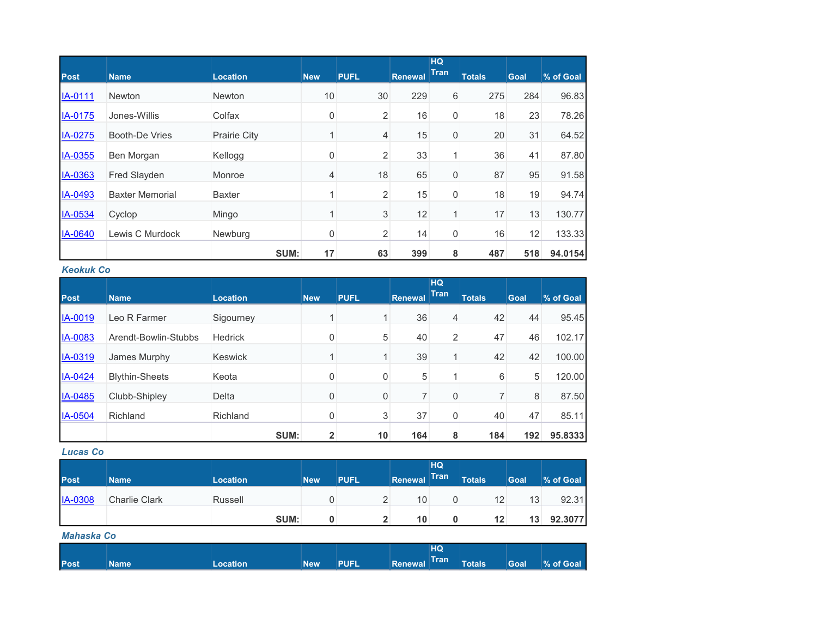|                |                        |                 |            |                |                | HQ<br><b>Tran</b> |               |      |           |
|----------------|------------------------|-----------------|------------|----------------|----------------|-------------------|---------------|------|-----------|
| <b>Post</b>    | <b>Name</b>            | <b>Location</b> | <b>New</b> | <b>PUFL</b>    | <b>Renewal</b> |                   | <b>Totals</b> | Goal | % of Goal |
| IA-0111        | <b>Newton</b>          | <b>Newton</b>   | 10         | 30             | 229            | 6                 | 275           | 284  | 96.83     |
| IA-0175        | Jones-Willis           | Colfax          | 0          | 2              | 16             | 0                 | 18            | 23   | 78.26     |
| IA-0275        | Booth-De Vries         | Prairie City    | 1          | $\overline{4}$ | 15             | 0                 | 20            | 31   | 64.52     |
| <b>IA-0355</b> | Ben Morgan             | Kellogg         | 0          | $\overline{2}$ | 33             | 1                 | 36            | 41   | 87.80     |
| <b>IA-0363</b> | <b>Fred Slayden</b>    | Monroe          | 4          | 18             | 65             | 0                 | 87            | 95   | 91.58     |
| IA-0493        | <b>Baxter Memorial</b> | <b>Baxter</b>   |            | $\overline{2}$ | 15             | 0                 | 18            | 19   | 94.74     |
| IA-0534        | Cyclop                 | Mingo           |            | $\sqrt{3}$     | 12             |                   | 17            | 13   | 130.77    |
| IA-0640        | Lewis C Murdock        | Newburg         | 0          | $\overline{2}$ | 14             | 0                 | 16            | 12   | 133.33    |
|                |                        | SUM:            | 17         | 63             | 399            | 8                 | 487           | 518  | 94.0154   |

### *Keokuk Co*

|             |                       |                 |                |             |         | HQ             |               |             |           |
|-------------|-----------------------|-----------------|----------------|-------------|---------|----------------|---------------|-------------|-----------|
| <b>Post</b> | <b>Name</b>           | <b>Location</b> | <b>New</b>     | <b>PUFL</b> | Renewal | <b>Tran</b>    | <b>Totals</b> | <b>Goal</b> | % of Goal |
| IA-0019     | Leo R Farmer          | Sigourney       | 4              |             | 36      | 4              | 42            | 44          | 95.45     |
| IA-0083     | Arendt-Bowlin-Stubbs  | <b>Hedrick</b>  | $\mathbf 0$    | 5           | 40      | $\overline{2}$ | 47            | 46          | 102.17    |
| IA-0319     | James Murphy          | <b>Keswick</b>  |                |             | 39      |                | 42            | 42          | 100.00    |
| IA-0424     | <b>Blythin-Sheets</b> | Keota           | $\mathbf 0$    | 0           | 5       |                | 6             | 5           | 120.00    |
| IA-0485     | Clubb-Shipley         | Delta           | 0              | 0           |         | 0              |               | 8           | 87.50     |
| IA-0504     | Richland              | Richland        | 0              | 3           | 37      | 0              | 40            | 47          | 85.11     |
|             |                       | SUM:            | $\overline{2}$ | 10          | 164     | 8              | 184           | 192         | 95.8333   |

## *Lucas Co*

| <b>Post</b>    | <b>Name</b>          | <b>Location</b> | <b>New</b> | <b>PUFL</b> | Renewal | HQ <sup>1</sup><br><b>Tran</b> | <b>Totals</b> | <b>Goal</b> | % of Goal |
|----------------|----------------------|-----------------|------------|-------------|---------|--------------------------------|---------------|-------------|-----------|
| <b>IA-0308</b> | <b>Charlie Clark</b> | Russell         |            | ∼           | 10      |                                | 12            | 13          | 92.31     |
|                |                      | SUM:            |            | -           | 10      |                                | 12            | 13          | 92.3077   |

#### *Mahaska Co*

|             |        |                 |            |             |              | HQ |               |      |           |
|-------------|--------|-----------------|------------|-------------|--------------|----|---------------|------|-----------|
| <b>Post</b> | Name ' | <b>Location</b> | <b>New</b> | <b>PUFL</b> | Renewal Tran |    | <b>Totals</b> | Goal | % of Goal |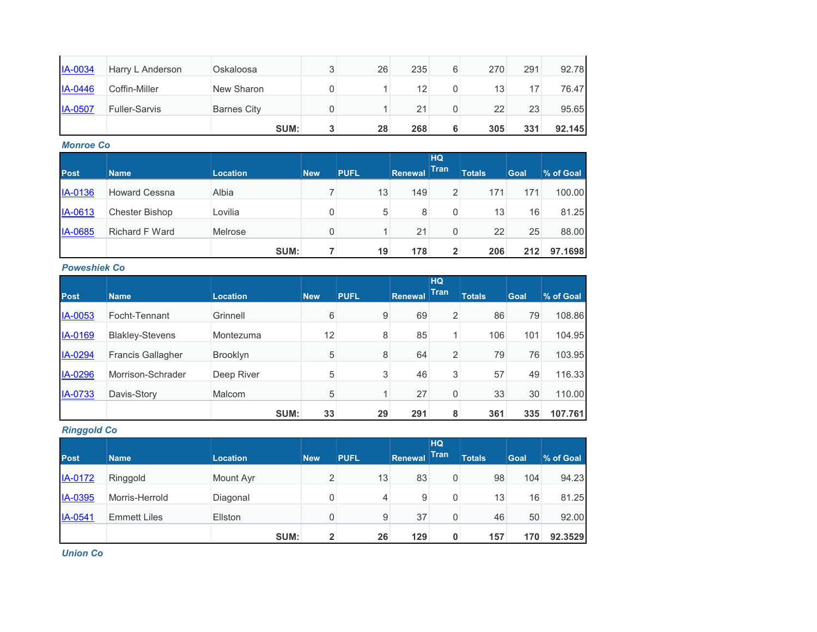| <b>IA-0034</b> | Harry L Anderson     | Oskaloosa          | 26 | 235 | 6 | 270 | 291 | 92.78  |
|----------------|----------------------|--------------------|----|-----|---|-----|-----|--------|
| IA-0446        | Coffin-Miller        | New Sharon         |    | 12  | 0 | 13  |     | 76.47  |
| $IA-0507$      | <b>Fuller-Sarvis</b> | <b>Barnes City</b> |    | 21  |   | 22  | 23  | 95.65  |
|                |                      | SUM:               | 28 | 268 | 6 | 305 | 331 | 92.145 |

## *Monroe Co*

| <b>Post</b> | <b>Name</b>           | <b>Location</b> | <b>New</b> | <b>PUFL</b> | Renewal | <b>HQ</b><br><b>Tran</b> | <b>Totals</b> | Goal | % of Goal |
|-------------|-----------------------|-----------------|------------|-------------|---------|--------------------------|---------------|------|-----------|
| IA-0136     | <b>Howard Cessna</b>  | Albia           |            | 13          | 149     | $\overline{2}$           | 171           | 171  | 100.00    |
| IA-0613     | <b>Chester Bishop</b> | Lovilia         | 0          | 5           | 8       | 0                        | 13            | 16   | 81.25     |
| IA-0685     | <b>Richard F Ward</b> | Melrose         | 0          |             | 21      | 0                        | 22            | 25   | 88.00     |
|             |                       | SUM:            |            | 19          | 178     | $\overline{2}$           | 206           | 212  | 97.1698   |

## *Poweshiek Co*

| <b>Post</b> | <b>Name</b>              | <b>Location</b> | <b>New</b> | <b>PUFL</b> | Renewal | <b>HQ</b><br><b>Tran</b> | <b>Totals</b> | <b>Goal</b> | % of Goal |
|-------------|--------------------------|-----------------|------------|-------------|---------|--------------------------|---------------|-------------|-----------|
| IA-0053     | Focht-Tennant            | Grinnell        | 6          | 9           | 69      | 2                        | 86            | 79          | 108.86    |
| IA-0169     | <b>Blakley-Stevens</b>   | Montezuma       | 12         | 8           | 85      |                          | 106           | 101         | 104.95    |
| IA-0294     | <b>Francis Gallagher</b> | <b>Brooklyn</b> | 5          | 8           | 64      | $\overline{2}$           | 79            | 76          | 103.95    |
| IA-0296     | Morrison-Schrader        | Deep River      | 5          | 3           | 46      | 3                        | 57            | 49          | 116.33    |
| IA-0733     | Davis-Story              | Malcom          | 5          |             | 27      | 0                        | 33            | 30          | 110.00    |
|             |                          | SUM:            | 33         | 29          | 291     | 8                        | 361           | 335         | 107.761   |

## *Ringgold Co*

|         |                     |                 |                |             |         | <b>HQ</b> |               |      |           |
|---------|---------------------|-----------------|----------------|-------------|---------|-----------|---------------|------|-----------|
| Post    | <b>Name</b>         | <b>Location</b> | <b>New</b>     | <b>PUFL</b> | Renewal | Tran      | <b>Totals</b> | Goal | % of Goal |
| IA-0172 | Ringgold            | Mount Ayr       | 2              | 13          | 83      | 0         | 98            | 104  | 94.23     |
| IA-0395 | Morris-Herrold      | Diagonal        | 0              | 4           | 9       | 0         | 13            | 16   | 81.25     |
| IA-0541 | <b>Emmett Liles</b> | Ellston         | 0              | 9           | 37      | 0         | 46            | 50   | 92.00     |
|         |                     | SUM:            | $\overline{2}$ | 26          | 129     | 0         | 157           | 170  | 92.3529   |

*Union Co*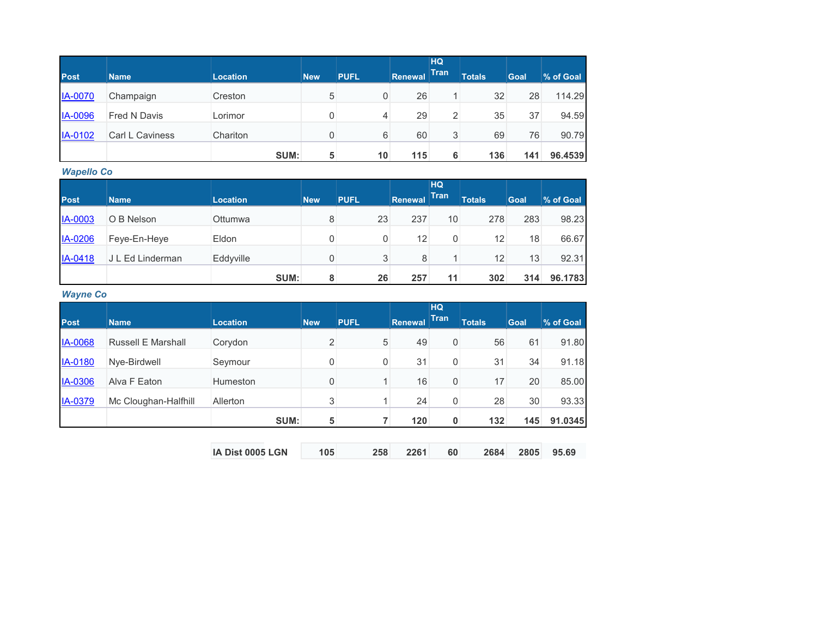|                |                     |          |            |             |         | <b>HQ</b>   |               |             |           |
|----------------|---------------------|----------|------------|-------------|---------|-------------|---------------|-------------|-----------|
| <b>Post</b>    | <b>Name</b>         | Location | <b>New</b> | <b>PUFL</b> | Renewal | <b>Tran</b> | <b>Totals</b> | <b>Goal</b> | % of Goal |
| <b>IA-0070</b> | Champaign           | Creston  | 5          | 0           | 26      |             | 32            | 28          | 114.29    |
| <b>IA-0096</b> | <b>Fred N Davis</b> | Lorimor  |            | 4           | 29      | 2           | 35            | 37          | 94.59     |
| IA-0102        | Carl L Caviness     | Chariton | 0          | 6           | 60      | 3           | 69            | 76          | 90.79     |
|                |                     | SUM:     | 5          | 10          | 115     | 6           | 136           | 141         | 96.4539   |

*Wapello Co*

| <b>Post</b>    |                  |                 |            |             |         | <b>HQ</b><br><b>Tran</b> |               |             |           |
|----------------|------------------|-----------------|------------|-------------|---------|--------------------------|---------------|-------------|-----------|
|                | <b>Name</b>      | <b>Location</b> | <b>New</b> | <b>PUFL</b> | Renewal |                          | <b>Totals</b> | <b>Goal</b> | % of Goal |
| <b>IA-0003</b> | O B Nelson       | <b>Ottumwa</b>  | 8          | 23          | 237     | 10                       | 278           | 283         | 98.23     |
| IA-0206        | Feye-En-Heye     | Eldon           | 0          | 0           | 12      | 0                        | 12            | 18          | 66.67     |
| IA-0418        | J L Ed Linderman | Eddyville       | 0          | 3           | 8       |                          | 12            | 13          | 92.31     |
|                |                  | SUM:            | 8          | 26          | 257     | 11                       | 302           | 314         | 96.1783   |

*Wayne Co*

| <b>Post</b> | <b>Name</b>               | <b>Location</b>  | <b>New</b>     | <b>PUFL</b> | <b>Renewal</b> | <b>HQ</b><br><b>Tran</b> | <b>Totals</b> | <b>Goal</b> | % of Goal |
|-------------|---------------------------|------------------|----------------|-------------|----------------|--------------------------|---------------|-------------|-----------|
|             |                           |                  |                |             |                |                          |               |             |           |
| IA-0068     | <b>Russell E Marshall</b> | Corydon          | $\overline{2}$ | 5           | 49             | 0                        | 56            | 61          | 91.80     |
| IA-0180     | Nye-Birdwell              | Seymour          | 0              | 0           | 31             | 0                        | 31            | 34          | 91.18     |
| IA-0306     | Alva F Eaton              | Humeston         | 0              |             | 16             | 0                        | 17            | 20          | 85.00     |
| IA-0379     | Mc Cloughan-Halfhill      | Allerton         | 3              |             | 24             | 0                        | 28            | 30          | 93.33     |
|             |                           | SUM:             | 5              |             | 120            | $\mathbf 0$              | 132           | 145         | 91.0345   |
|             |                           |                  |                |             |                |                          |               |             |           |
|             |                           | IA Dist 0005 LGN | 105            | 258         | 2261           | 60                       | 2684          | 2805        | 95.69     |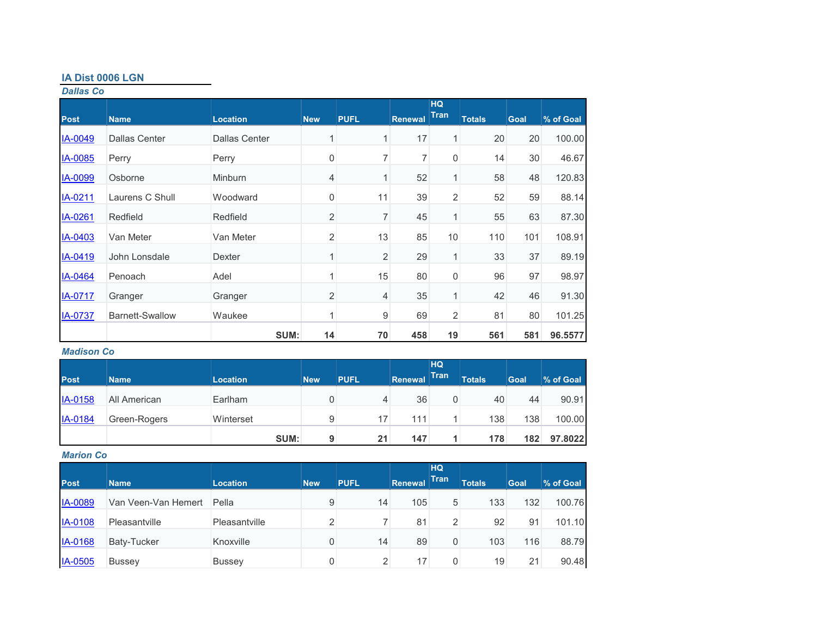## **IA Dist 0006 LGN**

## *Dallas Co*

| <b>Post</b>    | <b>Name</b>            | <b>Location</b>      | <b>New</b>     | <b>PUFL</b> | <b>Renewal</b> | <b>HQ</b><br><b>Tran</b> | <b>Totals</b> | <b>Goal</b> | % of Goal |
|----------------|------------------------|----------------------|----------------|-------------|----------------|--------------------------|---------------|-------------|-----------|
| IA-0049        | <b>Dallas Center</b>   | <b>Dallas Center</b> | 1              | 1           | 17             | $\mathbf{1}$             | 20            | 20          | 100.00    |
| IA-0085        | Perry                  | Perry                | 0              | 7           | 7              | 0                        | 14            | 30          | 46.67     |
| IA-0099        | Osborne                | <b>Minburn</b>       | 4              | 1           | 52             | 1                        | 58            | 48          | 120.83    |
| IA-0211        | Laurens C Shull        | Woodward             | $\mathbf{0}$   | 11          | 39             | 2                        | 52            | 59          | 88.14     |
| IA-0261        | Redfield               | Redfield             | $\overline{2}$ | 7           | 45             | 1                        | 55            | 63          | 87.30     |
| IA-0403        | Van Meter              | Van Meter            | $\overline{2}$ | 13          | 85             | 10                       | 110           | 101         | 108.91    |
| IA-0419        | John Lonsdale          | Dexter               | 1              | 2           | 29             | 1                        | 33            | 37          | 89.19     |
| IA-0464        | Penoach                | Adel                 | 1              | 15          | 80             | 0                        | 96            | 97          | 98.97     |
| IA-0717        | Granger                | Granger              | $\overline{2}$ | 4           | 35             | $\mathbf{1}$             | 42            | 46          | 91.30     |
| <b>IA-0737</b> | <b>Barnett-Swallow</b> | Waukee               | 1              | 9           | 69             | $\overline{2}$           | 81            | 80          | 101.25    |
|                |                        | SUM:                 | 14             | 70          | 458            | 19                       | 561           | 581         | 96.5577   |

## *Madison Co*

|             |              |                 |            |             |         | HQ <sup>1</sup> |               |      |           |
|-------------|--------------|-----------------|------------|-------------|---------|-----------------|---------------|------|-----------|
| <b>Post</b> | <b>Name</b>  | <b>Location</b> | <b>New</b> | <b>PUFL</b> | Renewal | <b>Tran</b>     | <b>Totals</b> | Goal | % of Goal |
| IA-0158     | All American | Earlham         | 0          | 4           | 36      | 0               | 40            | 44   | 90.91     |
| IA-0184     | Green-Rogers | Winterset       | 9          | 17          | 111     |                 | 138           | 138  | 100.00    |
|             |              | SUM:            | 9          | 21          | 147     |                 | 178           | 182  | 97.8022   |

#### *Marion Co*

|                |                     |                 |                |             |                | <b>HQ</b>   |               |      |           |
|----------------|---------------------|-----------------|----------------|-------------|----------------|-------------|---------------|------|-----------|
| <b>Post</b>    | <b>Name</b>         | <b>Location</b> | <b>New</b>     | <b>PUFL</b> | <b>Renewal</b> | <b>Tran</b> | <b>Totals</b> | Goal | % of Goal |
| <b>IA-0089</b> | Van Veen-Van Hemert | Pella           | 9              | 14          | 105            | 5           | 133           | 132  | 100.76    |
| <b>IA-0108</b> | Pleasantville       | Pleasantville   | $\overline{2}$ |             | 81             | 2           | 92            | 91   | 101.10    |
| <b>IA-0168</b> | <b>Baty-Tucker</b>  | Knoxville       |                | 14          | 89             | 0           | 103           | 116  | 88.79     |
| IA-0505        | <b>Bussey</b>       | <b>Bussey</b>   |                | 2           | 17             | 0           | 19            | 21   | 90.48     |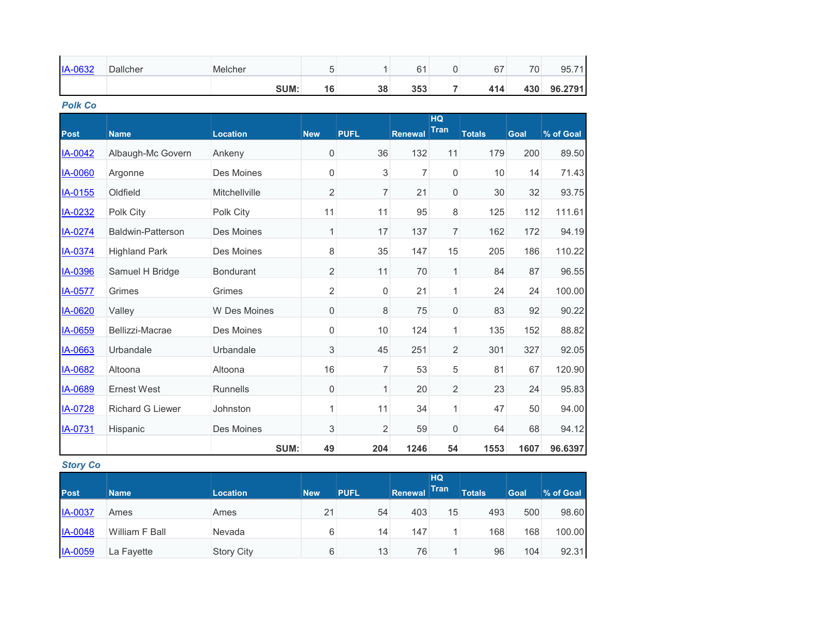| IA-0632        | Dallcher                | Melcher             | 5                | 1              | 61             | 0                        | 67            | 70   | 95.71     |
|----------------|-------------------------|---------------------|------------------|----------------|----------------|--------------------------|---------------|------|-----------|
|                |                         | SUM:                | 16               | 38             | 353            | $\overline{7}$           | 414           | 430  | 96.2791   |
| <b>Polk Co</b> |                         |                     |                  |                |                |                          |               |      |           |
| <b>Post</b>    | <b>Name</b>             | <b>Location</b>     | <b>New</b>       | <b>PUFL</b>    | <b>Renewal</b> | <b>HQ</b><br><b>Tran</b> | <b>Totals</b> | Goal | % of Goal |
| IA-0042        | Albaugh-Mc Govern       | Ankeny              | $\boldsymbol{0}$ | 36             | 132            | 11                       | 179           | 200  | 89.50     |
| IA-0060        | Argonne                 | Des Moines          | 0                | 3              | $\overline{7}$ | 0                        | 10            | 14   | 71.43     |
| IA-0155        | Oldfield                | Mitchellville       | $\overline{2}$   | $\overline{7}$ | 21             | 0                        | 30            | 32   | 93.75     |
| IA-0232        | Polk City               | Polk City           | 11               | 11             | 95             | 8                        | 125           | 112  | 111.61    |
| IA-0274        | Baldwin-Patterson       | Des Moines          | $\mathbf{1}$     | 17             | 137            | $\overline{7}$           | 162           | 172  | 94.19     |
| IA-0374        | <b>Highland Park</b>    | Des Moines          | 8                | 35             | 147            | 15                       | 205           | 186  | 110.22    |
| IA-0396        | Samuel H Bridge         | <b>Bondurant</b>    | $\overline{2}$   | 11             | 70             | $\mathbf{1}$             | 84            | 87   | 96.55     |
| IA-0577        | Grimes                  | Grimes              | $\overline{2}$   | 0              | 21             | $\mathbf{1}$             | 24            | 24   | 100.00    |
| IA-0620        | Valley                  | <b>W</b> Des Moines | $\mathbf 0$      | 8              | 75             | $\mathsf{O}\xspace$      | 83            | 92   | 90.22     |
| IA-0659        | Bellizzi-Macrae         | Des Moines          | 0                | 10             | 124            | 1                        | 135           | 152  | 88.82     |
| IA-0663        | Urbandale               | Urbandale           | 3                | 45             | 251            | 2                        | 301           | 327  | 92.05     |
| IA-0682        | Altoona                 | Altoona             | 16               | 7              | 53             | 5                        | 81            | 67   | 120.90    |
| IA-0689        | <b>Ernest West</b>      | <b>Runnells</b>     | $\mathbf 0$      | 1              | 20             | 2                        | 23            | 24   | 95.83     |
| IA-0728        | <b>Richard G Liewer</b> | Johnston            | 1                | 11             | 34             | $\mathbf{1}$             | 47            | 50   | 94.00     |
| IA-0731        | Hispanic                | Des Moines          | 3                | 2              | 59             | 0                        | 64            | 68   | 94.12     |
|                |                         | SUM:                | 49               | 204            | 1246           | 54                       | 1553          | 1607 | 96.6397   |

## *Story Co*

|                |                |                   |            |             |         | HQ          |               |             |           |
|----------------|----------------|-------------------|------------|-------------|---------|-------------|---------------|-------------|-----------|
| <b>Post</b>    | <b>Name</b>    | <b>Location</b>   | <b>New</b> | <b>PUFL</b> | Renewal | <b>Tran</b> | <b>Totals</b> | <b>Goal</b> | % of Goal |
| <b>IA-0037</b> | Ames           | Ames              | 21         | 54          | 403     | 15          | 493           | 500         | 98.60     |
| <b>IA-0048</b> | William F Ball | Nevada            | 6          | 14          | 147     |             | 168           | 168         | 100.00    |
| <b>IA-0059</b> | La Fayette     | <b>Story City</b> | 6          | 13          | 76      |             | 96            | 104         | 92.31     |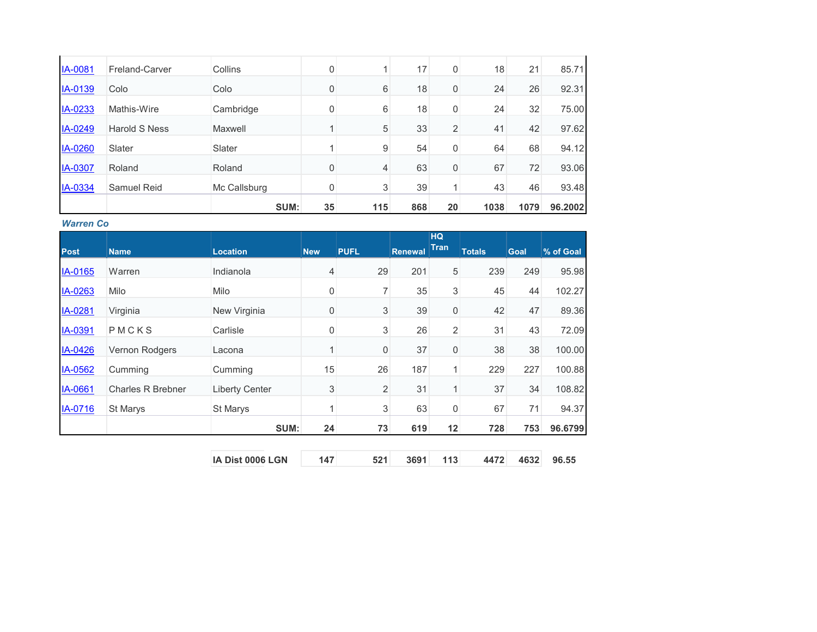| 21<br>17<br><b>IA-0081</b><br>18<br>Freland-Carver<br>Collins<br>0<br>0<br>26<br>6<br>18<br>24<br>0<br>IA-0139<br>Colo<br>0<br>Colo<br>32<br>24<br>IA-0233<br>6<br>18<br>0<br>Mathis-Wire<br>Cambridge<br>$\Omega$<br>5<br>IA-0249<br>33<br>$\overline{2}$<br>42<br>41<br><b>Harold S Ness</b><br>Maxwell<br>54<br>68<br>64<br>9<br>IA-0260<br>0<br>Slater<br>Slater<br>63<br>72<br>67<br>IA-0307<br>$\Omega$<br>4<br>0<br>Roland<br>Roland<br>39<br>46<br><b>IA-0334</b><br>3<br>43<br><b>Samuel Reid</b><br>Mc Callsburg<br>0<br>1 |  | SUM: | 35 | 115 | 868 | 20 | 1038 | 1079 | 96.2002 |
|--------------------------------------------------------------------------------------------------------------------------------------------------------------------------------------------------------------------------------------------------------------------------------------------------------------------------------------------------------------------------------------------------------------------------------------------------------------------------------------------------------------------------------------|--|------|----|-----|-----|----|------|------|---------|
|                                                                                                                                                                                                                                                                                                                                                                                                                                                                                                                                      |  |      |    |     |     |    |      |      | 93.48   |
|                                                                                                                                                                                                                                                                                                                                                                                                                                                                                                                                      |  |      |    |     |     |    |      |      | 93.06   |
|                                                                                                                                                                                                                                                                                                                                                                                                                                                                                                                                      |  |      |    |     |     |    |      |      | 94.12   |
|                                                                                                                                                                                                                                                                                                                                                                                                                                                                                                                                      |  |      |    |     |     |    |      |      | 97.62   |
|                                                                                                                                                                                                                                                                                                                                                                                                                                                                                                                                      |  |      |    |     |     |    |      |      | 75.00   |
|                                                                                                                                                                                                                                                                                                                                                                                                                                                                                                                                      |  |      |    |     |     |    |      |      | 92.31   |
|                                                                                                                                                                                                                                                                                                                                                                                                                                                                                                                                      |  |      |    |     |     |    |      |      | 85.71   |

#### *Warren Co*

|             |                          |                       |             |                  |                | <b>HQ</b><br><b>Tran</b> |               |             |           |
|-------------|--------------------------|-----------------------|-------------|------------------|----------------|--------------------------|---------------|-------------|-----------|
| <b>Post</b> | <b>Name</b>              | <b>Location</b>       | <b>New</b>  | <b>PUFL</b>      | <b>Renewal</b> |                          | <b>Totals</b> | <b>Goal</b> | % of Goal |
| IA-0165     | Warren                   | Indianola             | 4           | 29               | 201            | 5                        | 239           | 249         | 95.98     |
| IA-0263     | Milo                     | Milo                  | $\mathbf 0$ | $\overline{7}$   | 35             | $\mathfrak{S}$           | 45            | 44          | 102.27    |
| IA-0281     | Virginia                 | New Virginia          | $\mathbf 0$ | 3                | 39             | $\boldsymbol{0}$         | 42            | 47          | 89.36     |
| IA-0391     | PMCKS                    | Carlisle              | $\mathbf 0$ | $\sqrt{3}$       | 26             | $\overline{2}$           | 31            | 43          | 72.09     |
| IA-0426     | <b>Vernon Rodgers</b>    | Lacona                | 1           | $\boldsymbol{0}$ | 37             | $\boldsymbol{0}$         | 38            | 38          | 100.00    |
| IA-0562     | Cumming                  | Cumming               | 15          | 26               | 187            | $\mathbf{1}$             | 229           | 227         | 100.88    |
| IA-0661     | <b>Charles R Brebner</b> | <b>Liberty Center</b> | 3           | $\overline{2}$   | 31             | $\mathbf{1}$             | 37            | 34          | 108.82    |
| IA-0716     | <b>St Marys</b>          | <b>St Marys</b>       | 1           | 3                | 63             | $\overline{0}$           | 67            | 71          | 94.37     |
|             |                          | SUM:                  | 24          | 73               | 619            | 12                       | 728           | 753         | 96.6799   |
|             |                          |                       |             |                  |                |                          |               |             |           |
|             |                          | IA Dist 0006 LGN      | 147         | 521              | 3691           | 113                      | 4472          | 4632        | 96.55     |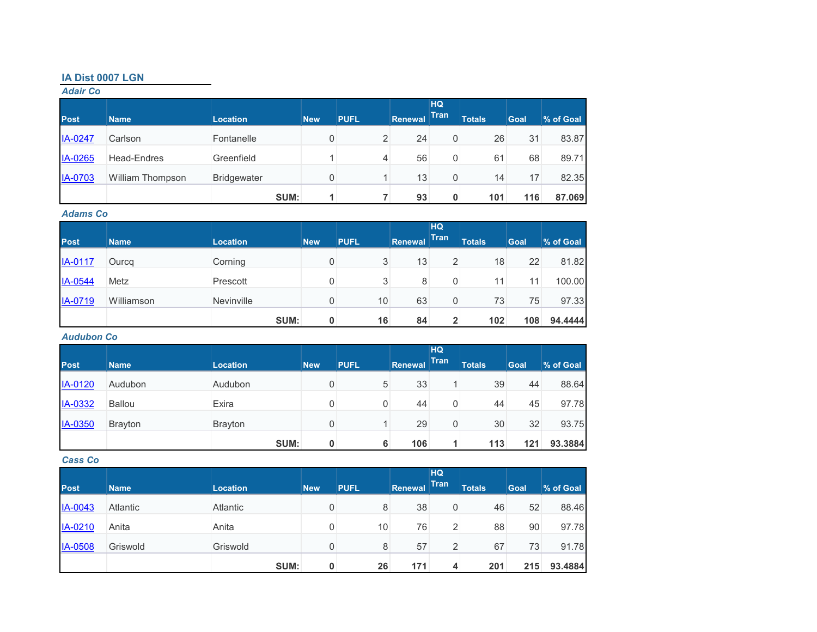## **IA Dist 0007 LGN**

## *Adair Co*

| <b>Post</b>    | <b>Name</b>             | <b>Location</b>    | <b>New</b> | <b>PUFL</b> | Renewal | HQ<br><b>Tran</b> | <b>Totals</b> | Goal | % of Goal |
|----------------|-------------------------|--------------------|------------|-------------|---------|-------------------|---------------|------|-----------|
| IA-0247        | Carlson                 | Fontanelle         | 0          | 2           | 24      | 0                 | 26            | 31   | 83.87     |
| IA-0265        | <b>Head-Endres</b>      | Greenfield         |            | 4           | 56      | 0                 | 61            | 68   | 89.71     |
| <b>IA-0703</b> | <b>William Thompson</b> | <b>Bridgewater</b> | 0          |             | 13      | 0                 | 14            | 17   | 82.35     |
|                |                         | SUM:               |            |             | 93      | 0                 | 101           | 116  | 87.069    |

#### *Adams Co*

|             |             |                 |            |             |         | <b>HQ</b>    |               |      |           |
|-------------|-------------|-----------------|------------|-------------|---------|--------------|---------------|------|-----------|
| <b>Post</b> | <b>Name</b> | <b>Location</b> | <b>New</b> | <b>PUFL</b> | Renewal | <b>Tran</b>  | <b>Totals</b> | Goal | % of Goal |
| IA-0117     | Ourcq       | Corning         | 0          | 3           | 13      | 2            | 18            | 22   | 81.82     |
| IA-0544     | Metz        | Prescott        |            | 3           | 8       | 0            | 11            | 11   | 100.00    |
| IA-0719     | Williamson  | Nevinville      |            | 10          | 63      | 0            | 73            | 75   | 97.33     |
|             |             | SUM:            | $\bf{0}$   | 16          | 84      | $\mathbf{2}$ | 102           | 108  | 94.4444   |

#### *Audubon Co*

|             |                |                 |            |             |         | <b>HQ</b>   |               |      |           |
|-------------|----------------|-----------------|------------|-------------|---------|-------------|---------------|------|-----------|
| <b>Post</b> | <b>Name</b>    | <b>Location</b> | <b>New</b> | <b>PUFL</b> | Renewal | <b>Tran</b> | <b>Totals</b> | Goal | % of Goal |
| IA-0120     | Audubon        | Audubon         | 0          | 5           | 33      |             | 39            | 44   | 88.64     |
| IA-0332     | <b>Ballou</b>  | Exira           | 0          | 0           | 44      | 0           | 44            | 45   | 97.78     |
| IA-0350     | <b>Brayton</b> | <b>Brayton</b>  | 0          |             | 29      | 0           | 30            | 32   | 93.75     |
|             |                | SUM:            | 0          | 6           | 106     |             | 113           | 121  | 93.3884   |

#### *Cass Co*

| <b>Post</b>    | <b>Name</b> | <b>Location</b> | <b>New</b> | <b>PUFL</b> | Renewal | <b>HQ</b><br><b>Tran</b> | <b>Totals</b> | <b>Goal</b> | % of Goal |
|----------------|-------------|-----------------|------------|-------------|---------|--------------------------|---------------|-------------|-----------|
| IA-0043        | Atlantic    | Atlantic        | 0          | 8           | 38      | 0                        | 46            | 52          | 88.46     |
| IA-0210        | Anita       | Anita           |            | 10          | 76      | 2                        | 88            | 90          | 97.78     |
| <b>IA-0508</b> | Griswold    | Griswold        | 0          | 8           | 57      | 2                        | 67            | 73          | 91.78     |
|                |             | SUM:            | 0          | 26          | 171     | 4                        | 201           | 215         | 93.4884   |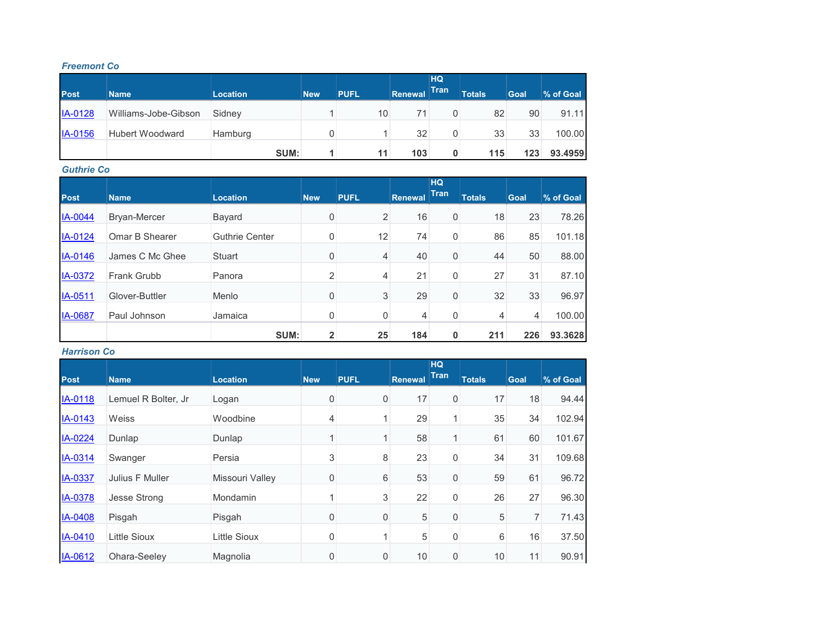#### *Freemont Co*

|                |                        |                 |            |             |                | <b>HQ</b>   |               |      |           |
|----------------|------------------------|-----------------|------------|-------------|----------------|-------------|---------------|------|-----------|
| <b>Post</b>    | <b>Name</b>            | <b>Location</b> | <b>New</b> | <b>PUFL</b> | <b>Renewal</b> | <b>Tran</b> | <b>Totals</b> | Goal | % of Goal |
| <b>IA-0128</b> | Williams-Jobe-Gibson   | Sidney          |            | 10          | 71             | 0           | 82            | 90   | 91.11     |
| IA-0156        | <b>Hubert Woodward</b> | Hamburg         | 0          |             | 32             | 0           | 33            | 33   | 100.00    |
|                |                        | SUM:            |            | 11          | 103            | 0           | 115           | 123  | 93.4959   |

#### *Guthrie Co*

| <b>Post</b>    | <b>Name</b>     | <b>Location</b>       | <b>New</b>     | <b>PUFL</b> | <b>Renewal</b> | <b>HQ</b><br><b>Tran</b> | <b>Totals</b> | Goal | % of Goal |
|----------------|-----------------|-----------------------|----------------|-------------|----------------|--------------------------|---------------|------|-----------|
| <b>IA-0044</b> | Bryan-Mercer    | Bayard                | 0              | 2           | 16             | 0                        | 18            | 23   | 78.26     |
| IA-0124        | Omar B Shearer  | <b>Guthrie Center</b> | 0              | 12          | 74             | 0                        | 86            | 85   | 101.18    |
| IA-0146        | James C Mc Ghee | Stuart                | 0              | 4           | 40             | 0                        | 44            | 50   | 88.00     |
| <b>IA-0372</b> | Frank Grubb     | Panora                | 2              | 4           | 21             | 0                        | 27            | 31   | 87.10     |
| IA-0511        | Glover-Buttler  | Menlo                 | 0              | 3           | 29             | 0                        | 32            | 33   | 96.97     |
| <b>IA-0687</b> | Paul Johnson    | Jamaica               | 0              | 0           | 4              | 0                        | 4             | 4    | 100.00    |
|                |                 | SUM:                  | $\overline{2}$ | 25          | 184            | 0                        | 211           | 226  | 93.3628   |

## *Harrison Co*

| <b>Post</b> | <b>Name</b>         | <b>Location</b>     | <b>New</b>     | <b>PUFL</b> | <b>Renewal</b> | <b>HQ</b><br><b>Tran</b> | <b>Totals</b> | <b>Goal</b> | % of Goal |
|-------------|---------------------|---------------------|----------------|-------------|----------------|--------------------------|---------------|-------------|-----------|
|             |                     |                     |                |             |                |                          |               |             |           |
| IA-0118     | Lemuel R Bolter, Jr | Logan               | 0              | $\mathbf 0$ | 17             | 0                        | 17            | 18          | 94.44     |
| IA-0143     | Weiss               | Woodbine            | 4              |             | 29             |                          | 35            | 34          | 102.94    |
| IA-0224     | Dunlap              | Dunlap              |                |             | 58             |                          | 61            | 60          | 101.67    |
| IA-0314     | Swanger             | Persia              | 3              | 8           | 23             | 0                        | 34            | 31          | 109.68    |
| IA-0337     | Julius F Muller     | Missouri Valley     | 0              | 6           | 53             | 0                        | 59            | 61          | 96.72     |
| IA-0378     | <b>Jesse Strong</b> | <b>Mondamin</b>     |                | 3           | 22             | 0                        | 26            | 27          | 96.30     |
| IA-0408     | Pisgah              | Pisgah              | 0              | $\mathbf 0$ | 5              | 0                        | 5             | 7           | 71.43     |
| IA-0410     | <b>Little Sioux</b> | <b>Little Sioux</b> | 0              |             | 5              | 0                        | 6             | 16          | 37.50     |
| IA-0612     | Ohara-Seeley        | Magnolia            | $\overline{0}$ | 0           | 10             | 0                        | 10            | 11          | 90.91     |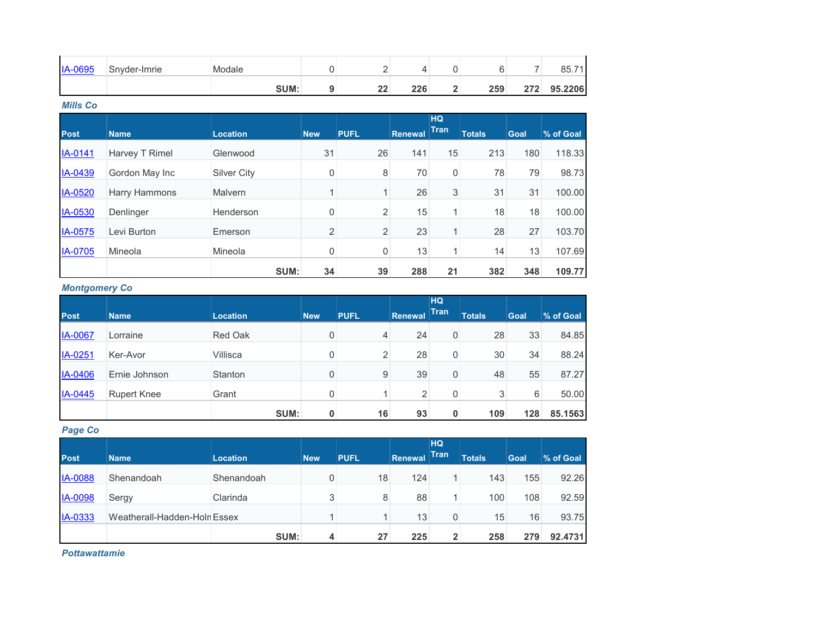| <b>IA-0695</b> | Snyder-Imrie | Modale |           |     |     |     | 85.7<br>$\overline{a}$ |
|----------------|--------------|--------|-----------|-----|-----|-----|------------------------|
|                |              | SUM:   | <u>__</u> | 226 | 259 | つフつ | 95.2206                |

*Mills Co*

|             |                       |                    |                |                |                | <b>HQ</b><br><b>Tran</b> |               |             |           |
|-------------|-----------------------|--------------------|----------------|----------------|----------------|--------------------------|---------------|-------------|-----------|
| <b>Post</b> | <b>Name</b>           | <b>Location</b>    | <b>New</b>     | <b>PUFL</b>    | <b>Renewal</b> |                          | <b>Totals</b> | <b>Goal</b> | % of Goal |
| IA-0141     | <b>Harvey T Rimel</b> | Glenwood           | 31             | 26             | 141            | 15                       | 213           | 180         | 118.33    |
| IA-0439     | Gordon May Inc        | <b>Silver City</b> | 0              | 8              | 70             | $\mathbf 0$              | 78            | 79          | 98.73     |
| IA-0520     | <b>Harry Hammons</b>  | Malvern            | 1              | $\mathbf{1}$   | 26             | 3                        | 31            | 31          | 100.00    |
| IA-0530     | Denlinger             | Henderson          | 0              | $\overline{c}$ | 15             | $\mathbf{1}$             | 18            | 18          | 100.00    |
| IA-0575     | Levi Burton           | Emerson            | $\overline{2}$ | $\overline{c}$ | 23             | $\mathbf{1}$             | 28            | 27          | 103.70    |
| IA-0705     | Mineola               | Mineola            | 0              | 0              | 13             |                          | 14            | 13          | 107.69    |
|             |                       | SUM:               | 34             | 39             | 288            | 21                       | 382           | 348         | 109.77    |

## *Montgomery Co*

| <b>Post</b>    |               |                 | <b>New</b> | <b>PUFL</b> |                | <b>HQ</b><br><b>Tran</b> | <b>Totals</b> | <b>Goal</b> |           |
|----------------|---------------|-----------------|------------|-------------|----------------|--------------------------|---------------|-------------|-----------|
|                | <b>Name</b>   | <b>Location</b> |            |             | <b>Renewal</b> |                          |               |             | % of Goal |
| <b>IA-0067</b> | Lorraine      | <b>Red Oak</b>  | 0          | 4           | 24             | 0                        | 28            | 33          | 84.85     |
| IA-0251        | Ker-Avor      | Villisca        | 0          | 2           | 28             | 0                        | 30            | 34          | 88.24     |
| IA-0406        | Ernie Johnson | <b>Stanton</b>  | 0          | 9           | 39             | 0                        | 48            | 55          | 87.27     |
| IA-0445        | Rupert Knee   | Grant           | 0          |             | $\overline{2}$ | 0                        | 3             | 6           | 50.00     |
|                |               | SUM:            | 0          | 16          | 93             | 0                        | 109           | 128         | 85.1563   |

## *Page Co*

|                |                              |                 |            |             |                | <b>HQ</b>    |               |             |           |
|----------------|------------------------------|-----------------|------------|-------------|----------------|--------------|---------------|-------------|-----------|
| Post           | <b>Name</b>                  | <b>Location</b> | <b>New</b> | <b>PUFL</b> | <b>Renewal</b> | <b>Tran</b>  | <b>Totals</b> | <b>Goal</b> | % of Goal |
| <b>IA-0088</b> | Shenandoah                   | Shenandoah      | 0          | 18          | 124            |              | 143           | 155         | 92.26     |
| <b>IA-0098</b> | Sergy                        | Clarinda        | 3          | 8           | 88             |              | 100           | 108         | 92.59     |
| IA-0333        | Weatherall-Hadden-Holn Essex |                 |            |             | 13             | 0            | 15            | 16          | 93.75     |
|                |                              | SUM:            | 4          | 27          | 225            | $\mathbf{2}$ | 258           | 279         | 92.4731   |

*Pottawattamie*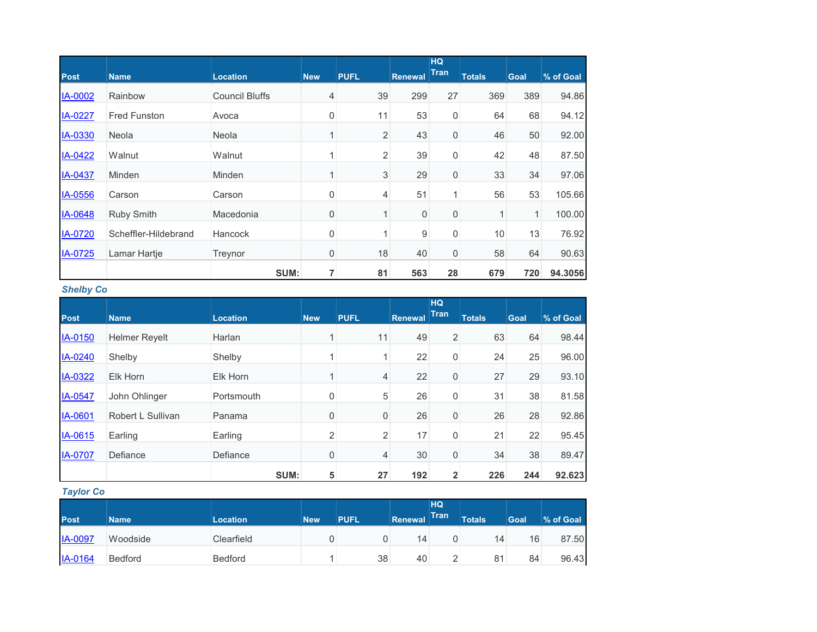|                |                      |                       |             |                |                | <b>HQ</b>   |               |      |           |
|----------------|----------------------|-----------------------|-------------|----------------|----------------|-------------|---------------|------|-----------|
| <b>Post</b>    | <b>Name</b>          | <b>Location</b>       | <b>New</b>  | <b>PUFL</b>    | <b>Renewal</b> | <b>Tran</b> | <b>Totals</b> | Goal | % of Goal |
| <b>IA-0002</b> | Rainbow              | <b>Council Bluffs</b> | 4           | 39             | 299            | 27          | 369           | 389  | 94.86     |
| IA-0227        | <b>Fred Funston</b>  | Avoca                 | $\mathbf 0$ | 11             | 53             | 0           | 64            | 68   | 94.12     |
| IA-0330        | Neola                | Neola                 | 1           | $\overline{2}$ | 43             | $\mathbf 0$ | 46            | 50   | 92.00     |
| IA-0422        | Walnut               | Walnut                | 1           | $\overline{c}$ | 39             | 0           | 42            | 48   | 87.50     |
| IA-0437        | Minden               | Minden                | 1           | 3              | 29             | $\mathbf 0$ | 33            | 34   | 97.06     |
| IA-0556        | Carson               | Carson                | 0           | 4              | 51             | 1           | 56            | 53   | 105.66    |
| IA-0648        | <b>Ruby Smith</b>    | Macedonia             | 0           | 1              | 0              | 0           | 1             | 1    | 100.00    |
| IA-0720        | Scheffler-Hildebrand | Hancock               | 0           |                | 9              | 0           | 10            | 13   | 76.92     |
| IA-0725        | Lamar Hartje         | Treynor               | 0           | 18             | 40             | $\mathbf 0$ | 58            | 64   | 90.63     |
|                |                      | SUM:                  | 7           | 81             | 563            | 28          | 679           | 720  | 94.3056   |

## *Shelby Co*

|                |                      |                 |            |                |                | HQ.          |               |             |           |
|----------------|----------------------|-----------------|------------|----------------|----------------|--------------|---------------|-------------|-----------|
| <b>Post</b>    | <b>Name</b>          | <b>Location</b> | <b>New</b> | <b>PUFL</b>    | <b>Renewal</b> | Tran         | <b>Totals</b> | <b>Goal</b> | % of Goal |
| IA-0150        | <b>Helmer Reyelt</b> | Harlan          |            | 11             | 49             | 2            | 63            | 64          | 98.44     |
| IA-0240        | Shelby               | Shelby          |            |                | 22             | 0            | 24            | 25          | 96.00     |
| IA-0322        | Elk Horn             | Elk Horn        |            | $\overline{4}$ | 22             | 0            | 27            | 29          | 93.10     |
| IA-0547        | John Ohlinger        | Portsmouth      | 0          | $\sqrt{5}$     | 26             | 0            | 31            | 38          | 81.58     |
| IA-0601        | Robert L Sullivan    | Panama          | 0          | $\mathbf 0$    | 26             | 0            | 26            | 28          | 92.86     |
| IA-0615        | Earling              | Earling         | 2          | $\overline{2}$ | 17             | 0            | 21            | 22          | 95.45     |
| <b>IA-0707</b> | Defiance             | Defiance        | 0          | $\overline{4}$ | 30             | 0            | 34            | 38          | 89.47     |
|                |                      | SUM:            | 5          | 27             | 192            | $\mathbf{2}$ | 226           | 244         | 92.623    |

## *Taylor Co*

|                |                |                 |            |             |         | HQ          |               |      |           |
|----------------|----------------|-----------------|------------|-------------|---------|-------------|---------------|------|-----------|
| <b>Post</b>    | <b>Name</b>    | <b>Location</b> | <b>New</b> | <b>PUFL</b> | Renewal | <b>Tran</b> | <b>Totals</b> | Goal | % of Goal |
| <b>IA-0097</b> | Woodside       | Clearfield      |            | U           | 14      |             | 14            | 16   | 87.50     |
| IA-0164        | <b>Bedford</b> | <b>Bedford</b>  |            | 38          | 40      |             | 81            | 84   | 96.43     |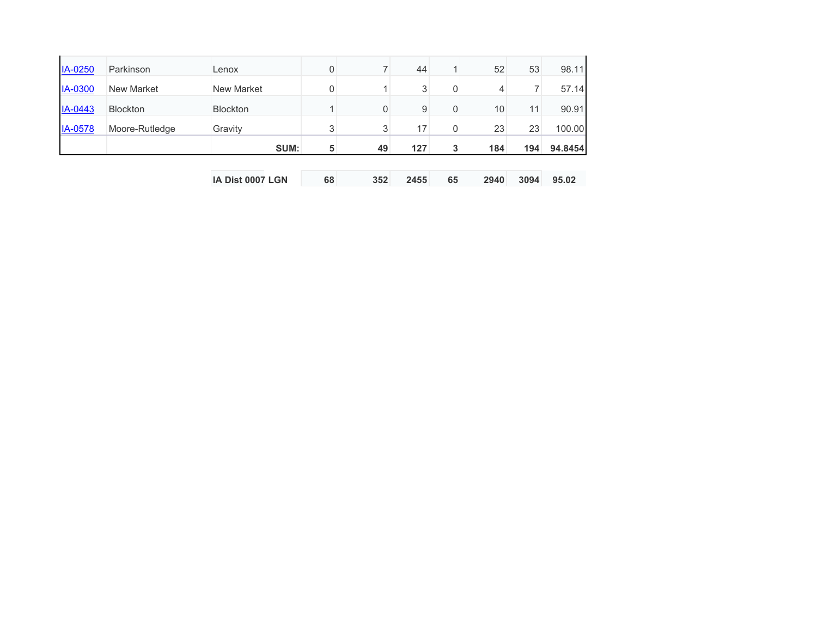|                |                 | SUM:              | 5 | 49 | 127 | 3           | 184 | 194 | 94.8454 |
|----------------|-----------------|-------------------|---|----|-----|-------------|-----|-----|---------|
| <b>IA-0578</b> | Moore-Rutledge  | Gravity           | 3 | 3  | 17  | 0           | 23  | 23  | 100.00  |
| IA-0443        | <b>Blockton</b> | <b>Blockton</b>   |   | 0  | 9   | $\mathbf 0$ | 10  | 11  | 90.91   |
| <b>IA-0300</b> | New Market      | <b>New Market</b> | 0 |    | 3   | $\mathbf 0$ |     |     | 57.14   |
| IA-0250        | Parkinson       | Lenox             |   |    | 44  |             | 52  | 53  | 98.11   |

| IA Dist 0007 LGN | 352 | 2455<br>65 | 2940 | 3094 95.02 |  |
|------------------|-----|------------|------|------------|--|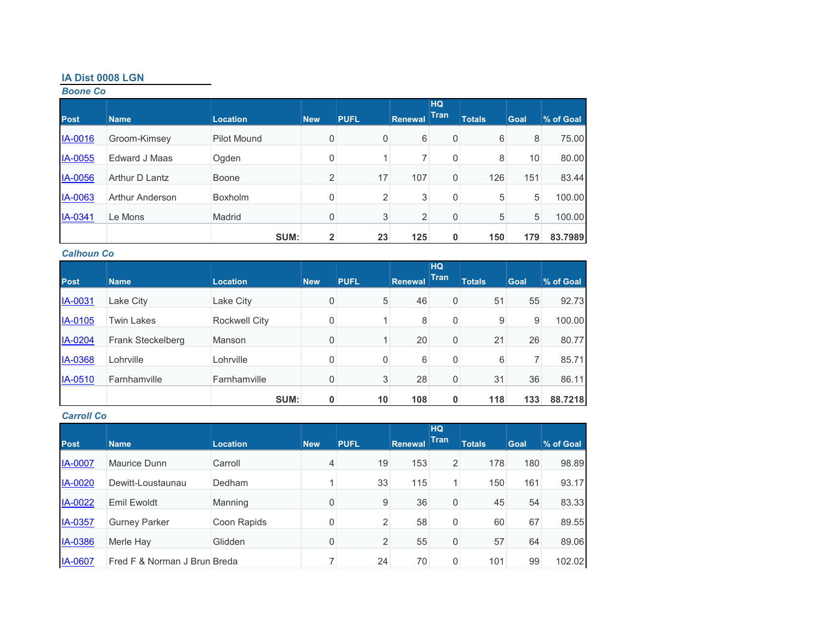## **IA Dist 0008 LGN**

## *Boone Co*

| <b>Post</b>    | <b>Name</b>            | <b>Location</b> | <b>New</b>              | <b>PUFL</b> | <b>Renewal</b> | <b>HQ</b><br><b>Tran</b> | <b>Totals</b> | Goal | % of Goal |
|----------------|------------------------|-----------------|-------------------------|-------------|----------------|--------------------------|---------------|------|-----------|
| <b>IA-0016</b> | Groom-Kimsey           | Pilot Mound     | 0                       | 0           | 6              | 0                        | 6             | 8    | 75.00     |
| IA-0055        | Edward J Maas          | Ogden           | $\mathbf 0$             |             |                | 0                        | 8             | 10   | 80.00     |
| <b>IA-0056</b> | Arthur D Lantz         | Boone           | 2                       | 17          | 107            | 0                        | 126           | 151  | 83.44     |
| IA-0063        | <b>Arthur Anderson</b> | <b>Boxholm</b>  | 0                       | 2           | 3              | 0                        | 5             | 5    | 100.00    |
| IA-0341        | Le Mons                | Madrid          | 0                       | 3           | 2              | 0                        | 5             | 5    | 100.00    |
|                |                        | SUM:            | $\overline{\mathbf{2}}$ | 23          | 125            | 0                        | 150           | 179  | 83.7989   |

#### *Calhoun Co*

| <b>Post</b>    | Name                     | <b>Location</b>      | <b>New</b> | <b>PUFL</b> | Renewal | <b>HQ</b><br><b>Tran</b> | <b>Totals</b> | Goal | % of Goal |
|----------------|--------------------------|----------------------|------------|-------------|---------|--------------------------|---------------|------|-----------|
| <b>IA-0031</b> | Lake City                | Lake City            | 0          | 5           | 46      | 0                        | 51            | 55   | 92.73     |
| <b>IA-0105</b> | <b>Twin Lakes</b>        | <b>Rockwell City</b> | 0          |             | 8       | 0                        | 9             | 9    | 100.00    |
| IA-0204        | <b>Frank Steckelberg</b> | Manson               | 0          |             | 20      | 0                        | 21            | 26   | 80.77     |
| <b>IA-0368</b> | Lohrville                | Lohrville            | 0          | 0           | 6       | 0                        | 6             | 7    | 85.71     |
| IA-0510        | Farnhamville             | Farnhamville         | 0          | 3           | 28      | $\mathbf 0$              | 31            | 36   | 86.11     |
|                |                          | SUM:                 | 0          | 10          | 108     | 0                        | 118           | 133  | 88.7218   |

## *Carroll Co*

| <b>Post</b>    | <b>Name</b>                  | <b>Location</b> | <b>New</b>  | <b>PUFL</b>    | Renewal | <b>HQ</b><br><b>Tran</b> | <b>Totals</b> | Goal | % of Goal |
|----------------|------------------------------|-----------------|-------------|----------------|---------|--------------------------|---------------|------|-----------|
|                |                              |                 |             |                |         |                          |               |      |           |
| <b>IA-0007</b> | Maurice Dunn                 | Carroll         | 4           | 19             | 153     | $\overline{2}$           | 178           | 180  | 98.89     |
| <b>IA-0020</b> | Dewitt-Loustaunau            | Dedham          | и           | 33             | 115     | 1 <sub>1</sub>           | 150           | 161  | 93.17     |
| IA-0022        | Emil Ewoldt                  | Manning         | $\mathbf 0$ | 9              | 36      | 0                        | 45            | 54   | 83.33     |
| <b>IA-0357</b> | <b>Gurney Parker</b>         | Coon Rapids     | 0           | $\overline{2}$ | 58      | 0                        | 60            | 67   | 89.55     |
| IA-0386        | Merle Hay                    | Glidden         | $\mathbf 0$ | $\overline{2}$ | 55      | 0                        | 57            | 64   | 89.06     |
| <b>IA-0607</b> | Fred F & Norman J Brun Breda |                 |             | 24             | 70      | 0                        | 101           | 99   | 102.02    |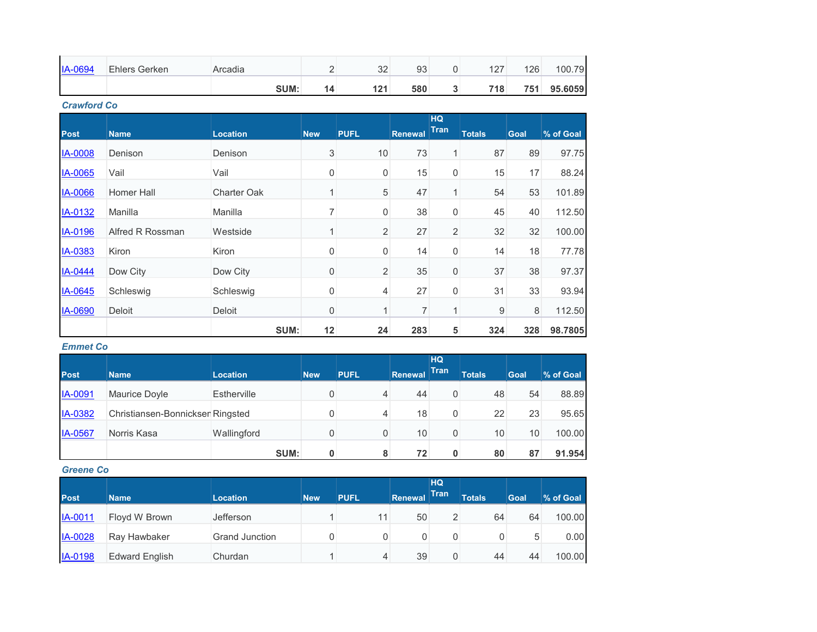| IA-0694 | <b>Ehlers Gerken</b> | Arcadia | n n<br>◡▵ | 93  | 107<br>L. | 126  | 100.7<br>79 |
|---------|----------------------|---------|-----------|-----|-----------|------|-------------|
|         |                      | SUM:    | 121       | 580 | 718       | 751. | 95.6059     |

*Crawford Co*

|                |                   |                    |                           |                |         | <b>HQ</b>      |               |             |           |
|----------------|-------------------|--------------------|---------------------------|----------------|---------|----------------|---------------|-------------|-----------|
| <b>Post</b>    | <b>Name</b>       | <b>Location</b>    | <b>New</b>                | <b>PUFL</b>    | Renewal | <b>Tran</b>    | <b>Totals</b> | <b>Goal</b> | % of Goal |
| <b>IA-0008</b> | Denison           | Denison            | $\ensuremath{\mathsf{3}}$ | 10             | 73      | $\mathbf{1}$   | 87            | 89          | 97.75     |
| IA-0065        | Vail              | Vail               | $\boldsymbol{0}$          | 0              | 15      | 0              | 15            | 17          | 88.24     |
| IA-0066        | <b>Homer Hall</b> | <b>Charter Oak</b> | 1                         | 5              | 47      | $\mathbf{1}$   | 54            | 53          | 101.89    |
| IA-0132        | Manilla           | Manilla            | 7                         | 0              | 38      | 0              | 45            | 40          | 112.50    |
| IA-0196        | Alfred R Rossman  | Westside           | 1                         | $\overline{2}$ | 27      | $\overline{2}$ | 32            | 32          | 100.00    |
| IA-0383        | Kiron             | <b>Kiron</b>       | $\mathbf 0$               | 0              | 14      | 0              | 14            | 18          | 77.78     |
| IA-0444        | Dow City          | Dow City           | $\mathbf 0$               | $\overline{2}$ | 35      | 0              | 37            | 38          | 97.37     |
| IA-0645        | Schleswig         | Schleswig          | $\mathbf 0$               | 4              | 27      | 0              | 31            | 33          | 93.94     |
| IA-0690        | Deloit            | Deloit             | $\mathbf 0$               | 1              | 7       | 1              | 9             | 8           | 112.50    |
|                |                   | SUM:               | 12                        | 24             | 283     | 5              | 324           | 328         | 98.7805   |

#### *Emmet Co*

|                |                                  |                    |            |             |         | <b>HQ</b>   |               |                 |           |
|----------------|----------------------------------|--------------------|------------|-------------|---------|-------------|---------------|-----------------|-----------|
| <b>Post</b>    | <b>Name</b>                      | <b>Location</b>    | <b>New</b> | <b>PUFL</b> | Renewal | <b>Tran</b> | <b>Totals</b> | Goal            | % of Goal |
| IA-0091        | Maurice Doyle                    | <b>Estherville</b> | 0          | 4           | 44      | 0           | 48            | 54              | 88.89     |
| <b>IA-0382</b> | Christiansen-Bonnickser Ringsted |                    | 0          | 4           | 18      | 0           | 22            | 23              | 95.65     |
| IA-0567        | Norris Kasa                      | Wallingford        | 0          | 0           | 10      | 0           | 10            | 10 <sup>1</sup> | 100.00    |
|                |                                  | SUM:               | 0          | 8           | 72      | 0           | 80            | 87              | 91.954    |

## *Greene Co*

| <b>Post</b>    |                       |                 |            | <b>PUFL</b> | <b>Renewal</b> | HQ<br>Tran | <b>Totals</b> | <b>Goal</b> | % of Goal |
|----------------|-----------------------|-----------------|------------|-------------|----------------|------------|---------------|-------------|-----------|
|                | <b>Name</b>           | <b>Location</b> | <b>New</b> |             |                |            |               |             |           |
| IA-0011        | Floyd W Brown         | Jefferson       |            | 11          | 50             | 2          | 64            | 64          | 100.00    |
| <b>IA-0028</b> | Ray Hawbaker          | Grand Junction  |            |             | 0              | 0          |               | 5           | 0.00      |
| <b>IA-0198</b> | <b>Edward English</b> | Churdan         |            | 4           | 39             | 0          | 44            | 44          | 100.00    |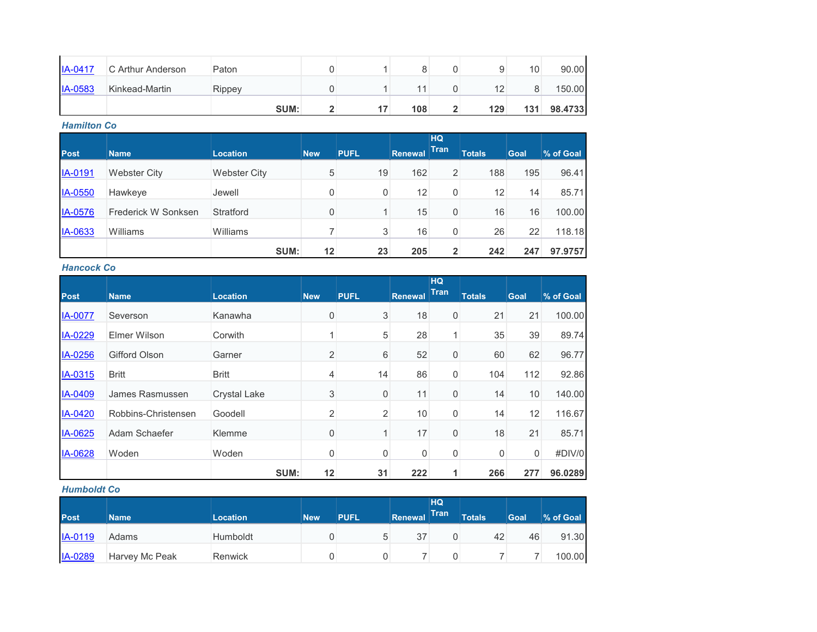| $IA-0417$      | C Arthur Anderson | Paton  |  |     |   |     | 10  | 90.00   |
|----------------|-------------------|--------|--|-----|---|-----|-----|---------|
| <b>IA-0583</b> | Kinkead-Martin    | Rippey |  |     |   | 12  |     | 150.00  |
|                |                   | SUM:   |  | 108 | - | 129 | 131 | 98.4733 |

*Hamilton Co*

|                |                     |                     |            |             |         | <b>HQ</b><br><b>Tran</b> |               |      |           |
|----------------|---------------------|---------------------|------------|-------------|---------|--------------------------|---------------|------|-----------|
| <b>Post</b>    | <b>Name</b>         | <b>Location</b>     | <b>New</b> | <b>PUFL</b> | Renewal |                          | <b>Totals</b> | Goal | % of Goal |
| IA-0191        | <b>Webster City</b> | <b>Webster City</b> | 5          | 19          | 162     | $\overline{2}$           | 188           | 195  | 96.41     |
| <b>IA-0550</b> | Hawkeye             | Jewell              | 0          | 0           | 12      | 0                        | 12            | 14   | 85.71     |
| <b>IA-0576</b> | Frederick W Sonksen | Stratford           | 0          |             | 15      | 0                        | 16            | 16   | 100.00    |
| <b>IA-0633</b> | Williams            | Williams            |            | 3           | 16      | 0                        | 26            | 22   | 118.18    |
|                |                     | SUM:                | 12         | 23          | 205     | $\overline{2}$           | 242           | 247  | 97.9757   |

*Hancock Co*

|             |                      |                     |                |              |                | <b>HQ</b><br><b>Tran</b> |               |      |           |
|-------------|----------------------|---------------------|----------------|--------------|----------------|--------------------------|---------------|------|-----------|
| <b>Post</b> | <b>Name</b>          | <b>Location</b>     | <b>New</b>     | <b>PUFL</b>  | <b>Renewal</b> |                          | <b>Totals</b> | Goal | % of Goal |
| IA-0077     | Severson             | Kanawha             | 0              | 3            | 18             | 0                        | 21            | 21   | 100.00    |
| IA-0229     | Elmer Wilson         | Corwith             | 4              | 5            | 28             | 1                        | 35            | 39   | 89.74     |
| IA-0256     | <b>Gifford Olson</b> | Garner              | $\overline{2}$ | 6            | 52             | 0                        | 60            | 62   | 96.77     |
| IA-0315     | <b>Britt</b>         | <b>Britt</b>        | 4              | 14           | 86             | 0                        | 104           | 112  | 92.86     |
| IA-0409     | James Rasmussen      | <b>Crystal Lake</b> | 3              | 0            | 11             | 0                        | 14            | 10   | 140.00    |
| IA-0420     | Robbins-Christensen  | Goodell             | $\overline{2}$ | 2            | 10             | 0                        | 14            | 12   | 116.67    |
| IA-0625     | Adam Schaefer        | Klemme              | 0              | $\mathbf{1}$ | 17             | 0                        | 18            | 21   | 85.71     |
| IA-0628     | Woden                | Woden               | 0              | 0            | 0              | 0                        | 0             | 0    | #DIV/0    |
|             |                      | SUM:                | 12             | 31           | 222            | 1                        | 266           | 277  | 96.0289   |

#### *Humboldt Co*

| <b>Post</b> | <b>Name</b>    | <b>Location</b> | <b>New</b> | <b>PUFL</b> | Renewal | HQ<br><b>Tran</b> | <b>Totals</b> | <b>Goal</b> | % of Goal |
|-------------|----------------|-----------------|------------|-------------|---------|-------------------|---------------|-------------|-----------|
| IA-0119     | Adams          | Humboldt        |            | 5           | 37      |                   | 42            | 46          | 91.30     |
| IA-0289     | Harvey Mc Peak | Renwick         |            |             |         |                   |               |             | 100.00    |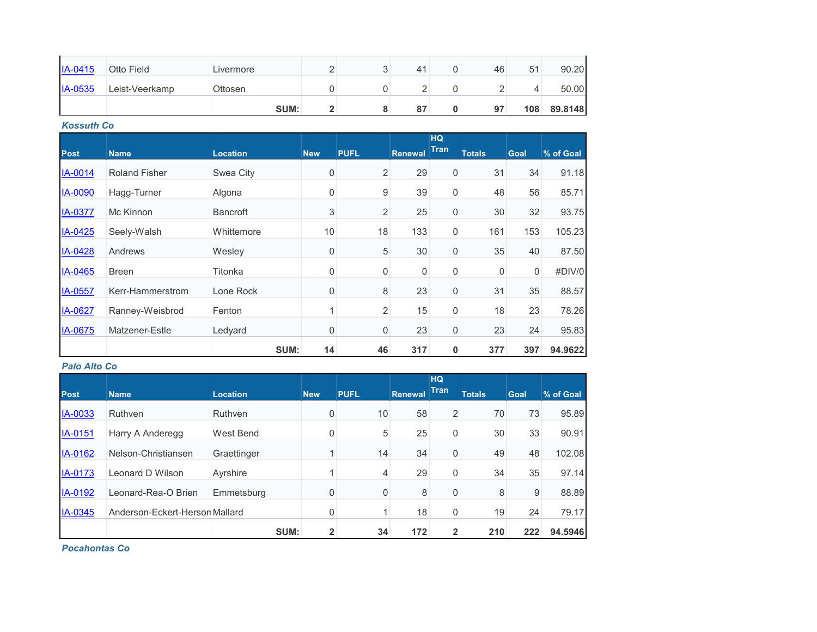| IA-0415   | Otto Field     | Livermore      |  | $\Delta^4$ | 46 | 51  | 90.20   |
|-----------|----------------|----------------|--|------------|----|-----|---------|
| $IA-0535$ | Leist-Veerkamp | <b>Ottosen</b> |  |            |    |     | 50.00   |
|           |                | SUM:           |  | 87         | 97 | 108 | 89.8148 |

*Kossuth Co*

| <b>Post</b>    | <b>Name</b>          | <b>Location</b> | <b>New</b>  | <b>PUFL</b>    | <b>Renewal</b> | <b>HQ</b><br><b>Tran</b> | <b>Totals</b> | Goal | % of Goal |
|----------------|----------------------|-----------------|-------------|----------------|----------------|--------------------------|---------------|------|-----------|
|                |                      |                 |             |                |                |                          |               |      |           |
| IA-0014        | <b>Roland Fisher</b> | Swea City       | 0           | $\overline{2}$ | 29             | $\boldsymbol{0}$         | 31            | 34   | 91.18     |
| IA-0090        | Hagg-Turner          | Algona          | 0           | 9              | 39             | $\boldsymbol{0}$         | 48            | 56   | 85.71     |
| <b>IA-0377</b> | Mc Kinnon            | <b>Bancroft</b> | 3           | $\overline{2}$ | 25             | 0                        | 30            | 32   | 93.75     |
| IA-0425        | Seely-Walsh          | Whittemore      | 10          | 18             | 133            | $\boldsymbol{0}$         | 161           | 153  | 105.23    |
| IA-0428        | Andrews              | Wesley          | 0           | 5              | 30             | $\boldsymbol{0}$         | 35            | 40   | 87.50     |
| IA-0465        | <b>Breen</b>         | Titonka         | 0           | $\mathbf 0$    | 0              | $\boldsymbol{0}$         | $\mathbf 0$   | 0    | #DIV/0    |
| IA-0557        | Kerr-Hammerstrom     | Lone Rock       | 0           | 8              | 23             | $\boldsymbol{0}$         | 31            | 35   | 88.57     |
| IA-0627        | Ranney-Weisbrod      | Fenton          | 1           | $\overline{2}$ | 15             | $\boldsymbol{0}$         | 18            | 23   | 78.26     |
| IA-0675        | Matzener-Estle       | Ledyard         | $\mathbf 0$ | $\mathbf 0$    | 23             | $\boldsymbol{0}$         | 23            | 24   | 95.83     |
|                |                      | SUM:            | 14          | 46             | 317            | 0                        | 377           | 397  | 94.9622   |

#### *Palo Alto Co*

| <b>Post</b>    | <b>Name</b>                    | <b>Location</b> | <b>New</b>   | <b>PUFL</b> | <b>Renewal</b> | <b>HQ</b><br><b>Tran</b> | <b>Totals</b> | <b>Goal</b> | % of Goal |
|----------------|--------------------------------|-----------------|--------------|-------------|----------------|--------------------------|---------------|-------------|-----------|
| IA-0033        | Ruthven                        | Ruthven         | 0            | 10          | 58             | 2                        | 70            | 73          | 95.89     |
| IA-0151        | Harry A Anderegg               | West Bend       | $\mathbf 0$  | 5           | 25             | 0                        | 30            | 33          | 90.91     |
| IA-0162        | Nelson-Christiansen            | Graettinger     |              | 14          | 34             | 0                        | 49            | 48          | 102.08    |
| <b>IA-0173</b> | Leonard D Wilson               | Ayrshire        |              | 4           | 29             | 0                        | 34            | 35          | 97.14     |
| <b>IA-0192</b> | Leonard-Rea-O Brien            | Emmetsburg      | 0            | 0           | 8              | 0                        | 8             | 9           | 88.89     |
| IA-0345        | Anderson-Eckert-Herson Mallard |                 | 0            |             | 18             | 0                        | 19            | 24          | 79.17     |
|                |                                | SUM:            | $\mathbf{2}$ | 34          | 172            | $\overline{2}$           | 210           | 222         | 94.5946   |

*Pocahontas Co*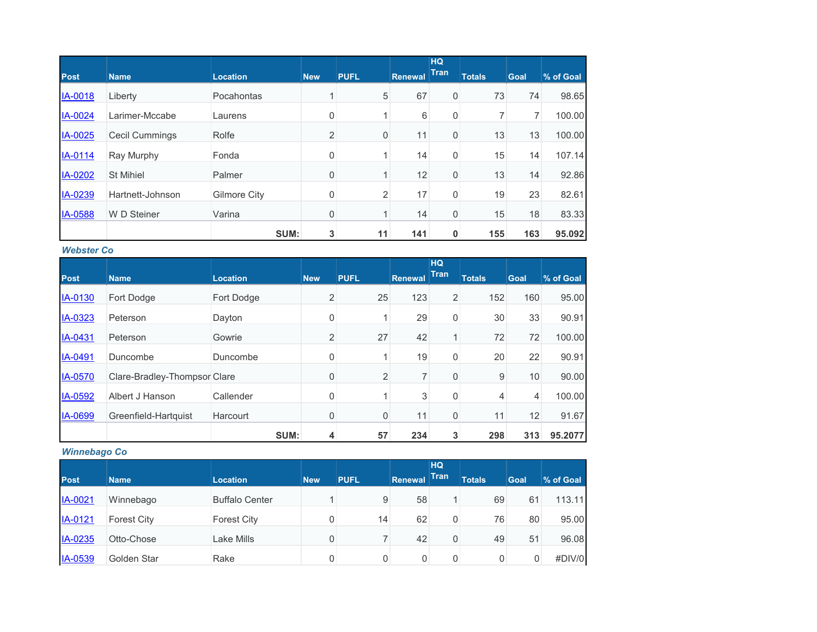|                |                       |                     |                |                  |                | HQ          |               |             |           |
|----------------|-----------------------|---------------------|----------------|------------------|----------------|-------------|---------------|-------------|-----------|
| <b>Post</b>    | <b>Name</b>           | <b>Location</b>     | <b>New</b>     | <b>PUFL</b>      | <b>Renewal</b> | <b>Tran</b> | <b>Totals</b> | <b>Goal</b> | % of Goal |
| IA-0018        | Liberty               | Pocahontas          |                | 5                | 67             | 0           | 73            | 74          | 98.65     |
| <b>IA-0024</b> | Larimer-Mccabe        | Laurens             | 0              |                  | 6              | 0           |               |             | 100.00    |
| IA-0025        | <b>Cecil Cummings</b> | Rolfe               | $\overline{2}$ | $\boldsymbol{0}$ | 11             | 0           | 13            | 13          | 100.00    |
| IA-0114        | Ray Murphy            | Fonda               | 0              |                  | 14             | 0           | 15            | 14          | 107.14    |
| IA-0202        | <b>St Mihiel</b>      | Palmer              | $\mathbf 0$    | 1                | 12             | 0           | 13            | 14          | 92.86     |
| IA-0239        | Hartnett-Johnson      | <b>Gilmore City</b> | $\mathbf 0$    | 2                | 17             | 0           | 19            | 23          | 82.61     |
| IA-0588        | W D Steiner           | Varina              | 0              |                  | 14             | 0           | 15            | 18          | 83.33     |
|                |                       | SUM:                | 3              | 11               | 141            | 0           | 155           | 163         | 95.092    |

#### *Webster Co*

|                |                              |                 |                |                |                | HQ          |               |             |           |
|----------------|------------------------------|-----------------|----------------|----------------|----------------|-------------|---------------|-------------|-----------|
| <b>Post</b>    | <b>Name</b>                  | <b>Location</b> | <b>New</b>     | <b>PUFL</b>    | <b>Renewal</b> | <b>Tran</b> | <b>Totals</b> | <b>Goal</b> | % of Goal |
| IA-0130        | Fort Dodge                   | Fort Dodge      | $\overline{2}$ | 25             | 123            | 2           | 152           | 160         | 95.00     |
| IA-0323        | Peterson                     | Dayton          | 0              |                | 29             | 0           | 30            | 33          | 90.91     |
| IA-0431        | Peterson                     | Gowrie          | $\overline{2}$ | 27             | 42             | 1           | 72            | 72          | 100.00    |
| IA-0491        | Duncombe                     | Duncombe        | 0              |                | 19             | 0           | 20            | 22          | 90.91     |
| <b>IA-0570</b> | Clare-Bradley-Thompsor Clare |                 | 0              | $\overline{2}$ | $\overline{7}$ | 0           | 9             | 10          | 90.00     |
| IA-0592        | Albert J Hanson              | Callender       | 0              |                | 3              | 0           | 4             | 4           | 100.00    |
| IA-0699        | Greenfield-Hartquist         | Harcourt        | 0              | $\mathbf 0$    | 11             | 0           | 11            | 12          | 91.67     |
|                |                              | SUM:            | 4              | 57             | 234            | 3           | 298           | 313         | 95.2077   |

## *Winnebago Co*

|                |                    |                       |            |             |                | <b>HQ</b>   |               |             |           |
|----------------|--------------------|-----------------------|------------|-------------|----------------|-------------|---------------|-------------|-----------|
| <b>Post</b>    | <b>Name</b>        | <b>Location</b>       | <b>New</b> | <b>PUFL</b> | <b>Renewal</b> | Tran        | <b>Totals</b> | <b>Goal</b> | % of Goal |
| IA-0021        | Winnebago          | <b>Buffalo Center</b> |            | 9           | 58             | 1           | 69            | 61          | 113.11    |
| IA-0121        | <b>Forest City</b> | <b>Forest City</b>    |            | 14          | 62             | 0           | 76            | 80          | 95.00     |
| IA-0235        | Otto-Chose         | Lake Mills            | 0          | 7           | 42             | $\Omega$    | 49            | 51          | 96.08     |
| <b>IA-0539</b> | Golden Star        | Rake                  |            |             | 0              | $\mathbf 0$ |               | 0           | #DIV/0    |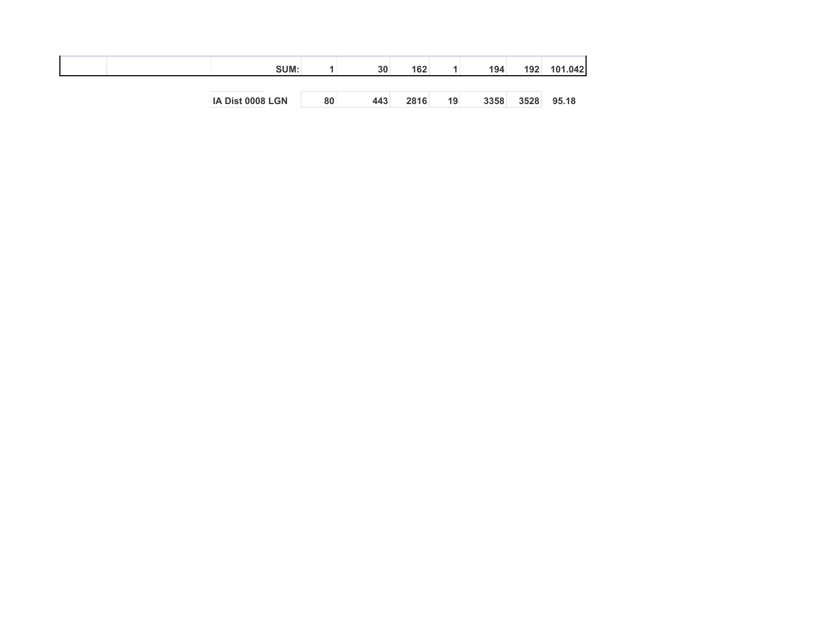| SUM:             |    | 30  | 162 <sub>1</sub> |    | 194  | 192  | 101.042 |
|------------------|----|-----|------------------|----|------|------|---------|
|                  |    |     |                  |    |      |      |         |
| IA Dist 0008 LGN | 80 | 443 | 2816             | 19 | 3358 | 3528 | 95.18   |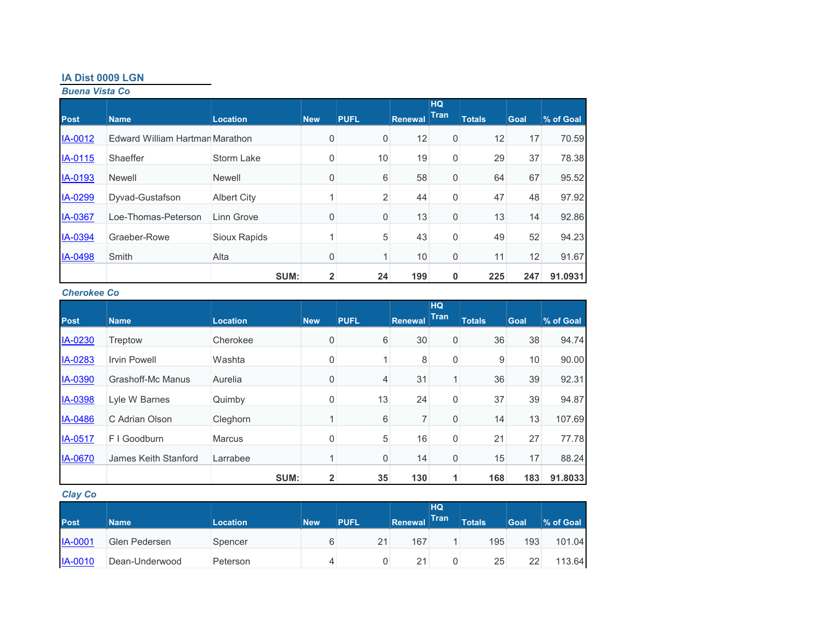## **IA Dist 0009 LGN**

*Buena Vista Co*

|                |                                 |                    |                |                |                | <b>HQ</b>   |               |             |           |
|----------------|---------------------------------|--------------------|----------------|----------------|----------------|-------------|---------------|-------------|-----------|
| <b>Post</b>    | <b>Name</b>                     | <b>Location</b>    | <b>New</b>     | <b>PUFL</b>    | <b>Renewal</b> | Tran        | <b>Totals</b> | <b>Goal</b> | % of Goal |
| <b>IA-0012</b> | Edward William Hartmar Marathon |                    | 0              | $\overline{0}$ | 12             | 0           | 12            | 17          | 70.59     |
| IA-0115        | Shaeffer                        | <b>Storm Lake</b>  | 0              | 10             | 19             | 0           | 29            | 37          | 78.38     |
| IA-0193        | <b>Newell</b>                   | <b>Newell</b>      | $\mathbf 0$    | 6              | 58             | $\mathbf 0$ | 64            | 67          | 95.52     |
| IA-0299        | Dyvad-Gustafson                 | <b>Albert City</b> | 4              | $\overline{2}$ | 44             | 0           | 47            | 48          | 97.92     |
| <b>IA-0367</b> | Loe-Thomas-Peterson             | Linn Grove         | 0              | 0              | 13             | $\mathbf 0$ | 13            | 14          | 92.86     |
| IA-0394        | Graeber-Rowe                    | Sioux Rapids       | 4              | 5              | 43             | $\mathbf 0$ | 49            | 52          | 94.23     |
| IA-0498        | Smith                           | Alta               | 0              | $\mathbf{1}$   | 10             | 0           | 11            | 12          | 91.67     |
|                |                                 | SUM:               | $\overline{2}$ | 24             | 199            | $\mathbf 0$ | 225           | 247         | 91.0931   |

#### *Cherokee Co*

|                |                          |                 |                |                |         | HQ          |               |             |           |
|----------------|--------------------------|-----------------|----------------|----------------|---------|-------------|---------------|-------------|-----------|
| <b>Post</b>    | <b>Name</b>              | <b>Location</b> | <b>New</b>     | <b>PUFL</b>    | Renewal | <b>Tran</b> | <b>Totals</b> | <b>Goal</b> | % of Goal |
| IA-0230        | Treptow                  | Cherokee        | 0              | 6              | 30      | 0           | 36            | 38          | 94.74     |
| IA-0283        | <b>Irvin Powell</b>      | Washta          | 0              |                | 8       | 0           | 9             | 10          | 90.00     |
| IA-0390        | <b>Grashoff-Mc Manus</b> | Aurelia         | 0              | $\overline{4}$ | 31      |             | 36            | 39          | 92.31     |
| IA-0398        | Lyle W Barnes            | Quimby          | 0              | 13             | 24      | 0           | 37            | 39          | 94.87     |
| IA-0486        | C Adrian Olson           | Cleghorn        |                | 6              |         | 0           | 14            | 13          | 107.69    |
| IA-0517        | F I Goodburn             | <b>Marcus</b>   | 0              | 5              | 16      | 0           | 21            | 27          | 77.78     |
| <b>IA-0670</b> | James Keith Stanford     | Larrabee        | 1              | $\mathbf 0$    | 14      | 0           | 15            | 17          | 88.24     |
|                |                          | SUM:            | $\overline{2}$ | 35             | 130     |             | 168           | 183         | 91.8033   |

## *Clay Co*

| <b>Post</b>    | <b>Name</b>    | <b>Location</b> | <b>New</b> | <b>PUFL</b> | <b>Renewal</b> | HQ<br><b>Tran</b> | <b>Totals</b> | Goal | % of Goal |
|----------------|----------------|-----------------|------------|-------------|----------------|-------------------|---------------|------|-----------|
| <b>IA-0001</b> | Glen Pedersen  | Spencer         |            | 21          | 167            |                   | 195           | 193  | 101.04    |
| IA-0010        | Dean-Underwood | Peterson        |            |             | 21             |                   | 25            | 22   | 113.64    |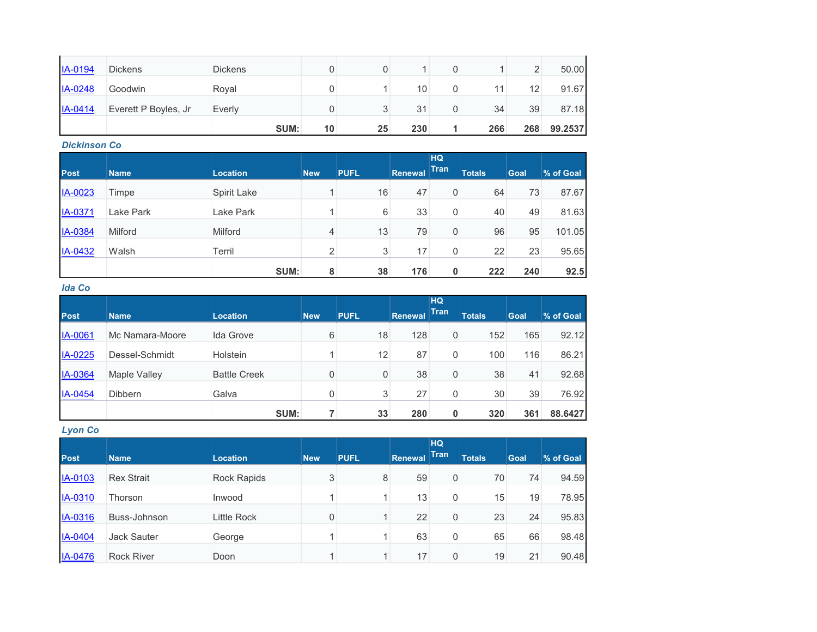| <b>IA-0194</b> | <b>Dickens</b>       | <b>Dickens</b> |    |    |     |     |                 | 50.00   |
|----------------|----------------------|----------------|----|----|-----|-----|-----------------|---------|
| IA-0248        | Goodwin              | Royal          |    |    | 10  | 11  | 12 <sub>1</sub> | 91.67   |
| IA-0414        | Everett P Boyles, Jr | Everly         |    |    | 31  | 34  | 39              | 87.18   |
|                |                      | SUM:           | 10 | 25 | 230 | 266 | 268             | 99.2537 |

## *Dickinson Co*

| <b>Post</b> | <b>Name</b> | <b>Location</b> | <b>New</b>     | <b>PUFL</b> | Renewal | <b>HQ</b><br><b>Tran</b> | <b>Totals</b> | Goal | % of Goal |
|-------------|-------------|-----------------|----------------|-------------|---------|--------------------------|---------------|------|-----------|
|             |             |                 |                |             |         |                          |               |      |           |
| IA-0023     | Timpe       | Spirit Lake     |                | 16          | 47      | 0                        | 64            | 73   | 87.67     |
| IA-0371     | Lake Park   | Lake Park       |                | 6           | 33      | 0                        | 40            | 49   | 81.63     |
| IA-0384     | Milford     | Milford         | 4              | 13          | 79      | 0                        | 96            | 95   | 101.05    |
| IA-0432     | Walsh       | Terril          | $\overline{2}$ | 3           | 17      | 0                        | 22            | 23   | 95.65     |
|             |             | SUM:            | 8              | 38          | 176     | 0                        | 222           | 240  | 92.5      |

## *Ida Co*

|             |                     |                     |            |             |                | <b>HQ</b>   |               |             |           |
|-------------|---------------------|---------------------|------------|-------------|----------------|-------------|---------------|-------------|-----------|
| <b>Post</b> | <b>Name</b>         | <b>Location</b>     | <b>New</b> | <b>PUFL</b> | <b>Renewal</b> | <b>Tran</b> | <b>Totals</b> | <b>Goal</b> | % of Goal |
| IA-0061     | Mc Namara-Moore     | Ida Grove           | 6          | 18          | 128            | 0           | 152           | 165         | 92.12     |
| IA-0225     | Dessel-Schmidt      | <b>Holstein</b>     |            | 12          | 87             | 0           | 100           | 116         | 86.21     |
| IA-0364     | <b>Maple Valley</b> | <b>Battle Creek</b> | 0          | 0           | 38             | 0           | 38            | 41          | 92.68     |
| IA-0454     | <b>Dibbern</b>      | Galva               | 0          | 3           | 27             | 0           | 30            | 39          | 76.92     |
|             |                     | SUM:                |            | 33          | 280            | 0           | 320           | 361         | 88.6427   |

## *Lyon Co*

| <b>Post</b> | <b>Name</b>        | <b>Location</b>    | <b>New</b> | <b>PUFL</b> | <b>Renewal</b> | <b>HQ</b><br><b>Tran</b> | <b>Totals</b> | <b>Goal</b> | % of Goal |
|-------------|--------------------|--------------------|------------|-------------|----------------|--------------------------|---------------|-------------|-----------|
| IA-0103     | <b>Rex Strait</b>  | <b>Rock Rapids</b> | 3          | 8           | 59             | 0                        | 70            | 74          | 94.59     |
| IA-0310     | Thorson            | Inwood             |            |             | 13             | 0                        | 15            | 19          | 78.95     |
| IA-0316     | Buss-Johnson       | Little Rock        | 0          |             | 22             | 0                        | 23            | 24          | 95.83     |
| IA-0404     | <b>Jack Sauter</b> | George             |            |             | 63             | 0                        | 65            | 66          | 98.48     |
| IA-0476     | <b>Rock River</b>  | Doon               |            |             | 17             | 0                        | 19            | 21          | 90.48     |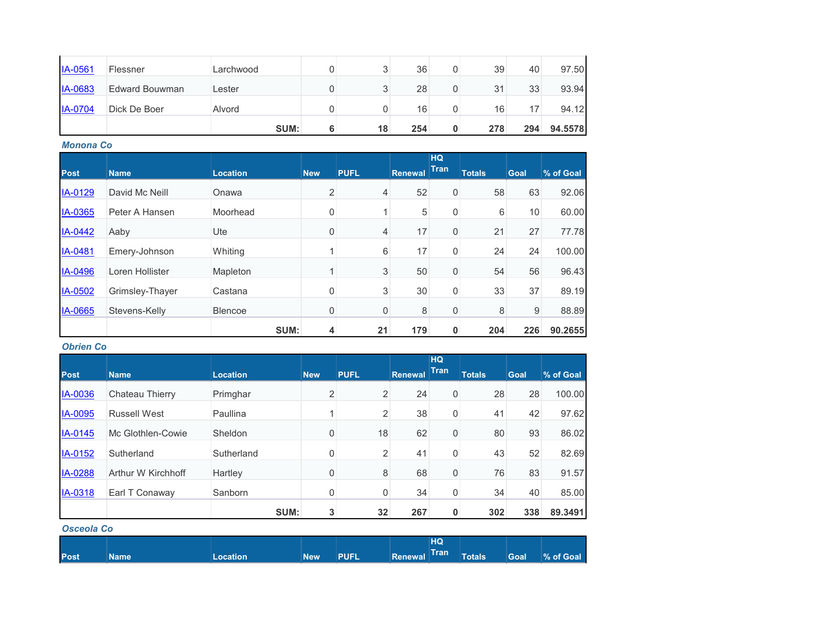| $IA-0561$      | Flessner       | Larchwood |   | հ  | 36  |   | 39  | 40  | 97.50   |
|----------------|----------------|-----------|---|----|-----|---|-----|-----|---------|
| <b>IA-0683</b> | Edward Bouwman | ∟ester    |   | 3  | 28  |   | 31  | 33  | 93.94   |
| <b>IA-0704</b> | Dick De Boer   | Alvord    |   |    | 16  |   | 16  |     | 94.12   |
|                |                | SUM:      | 6 | 18 | 254 | 0 | 278 | 294 | 94.5578 |

*Monona Co*

|             |                 |                 |                |             |                | <b>HQ</b>   |               |      |           |
|-------------|-----------------|-----------------|----------------|-------------|----------------|-------------|---------------|------|-----------|
| <b>Post</b> | <b>Name</b>     | <b>Location</b> | <b>New</b>     | <b>PUFL</b> | <b>Renewal</b> | <b>Tran</b> | <b>Totals</b> | Goal | % of Goal |
| IA-0129     | David Mc Neill  | Onawa           | $\overline{2}$ | 4           | 52             | 0           | 58            | 63   | 92.06     |
| IA-0365     | Peter A Hansen  | Moorhead        | 0              |             | 5              | 0           | 6             | 10   | 60.00     |
| IA-0442     | Aaby            | Ute             | 0              | 4           | 17             | 0           | 21            | 27   | 77.78     |
| IA-0481     | Emery-Johnson   | Whiting         |                | 6           | 17             | $\mathbf 0$ | 24            | 24   | 100.00    |
| IA-0496     | Loren Hollister | Mapleton        |                | 3           | 50             | $\mathbf 0$ | 54            | 56   | 96.43     |
| IA-0502     | Grimsley-Thayer | Castana         | 0              | 3           | 30             | 0           | 33            | 37   | 89.19     |
| IA-0665     | Stevens-Kelly   | <b>Blencoe</b>  | 0              | 0           | 8              | 0           | 8             | 9    | 88.89     |
|             |                 | SUM:            | 4              | 21          | 179            | $\mathbf 0$ | 204           | 226  | 90.2655   |

### *Obrien Co*

| <b>Post</b>    | <b>Name</b>         | <b>Location</b> | <b>New</b> | <b>PUFL</b>    | <b>Renewal</b> | <b>HQ</b><br>Tran | <b>Totals</b> | <b>Goal</b> | % of Goal |
|----------------|---------------------|-----------------|------------|----------------|----------------|-------------------|---------------|-------------|-----------|
| IA-0036        | Chateau Thierry     | Primghar        | 2          | $\overline{2}$ | 24             | $\mathbf 0$       | 28            | 28          | 100.00    |
| IA-0095        | <b>Russell West</b> | Paullina        |            | $\overline{2}$ | 38             | $\mathbf 0$       | 41            | 42          | 97.62     |
| IA-0145        | Mc Glothlen-Cowie   | Sheldon         | $\Omega$   | 18             | 62             | $\mathbf 0$       | 80            | 93          | 86.02     |
| <b>IA-0152</b> | Sutherland          | Sutherland      | $\Omega$   | 2              | 41             | 0                 | 43            | 52          | 82.69     |
| <b>IA-0288</b> | Arthur W Kirchhoff  | Hartley         | $\Omega$   | 8              | 68             | $\mathbf 0$       | 76            | 83          | 91.57     |
| IA-0318        | Earl T Conaway      | Sanborn         | 0          | 0              | 34             | $\mathbf 0$       | 34            | 40          | 85.00     |
|                |                     | SUM:            | 3          | 32             | 267            | $\mathbf 0$       | 302           | 338         | 89.3491   |

#### *Osceola Co*

|             |             |                 |            |             |              | HQ |                     |      |            |
|-------------|-------------|-----------------|------------|-------------|--------------|----|---------------------|------|------------|
| <b>Post</b> | <b>Name</b> | <b>Location</b> | <b>New</b> | <b>PUFL</b> | Renewal Tran |    | Totals <sup>1</sup> | Goal | │% of Goal |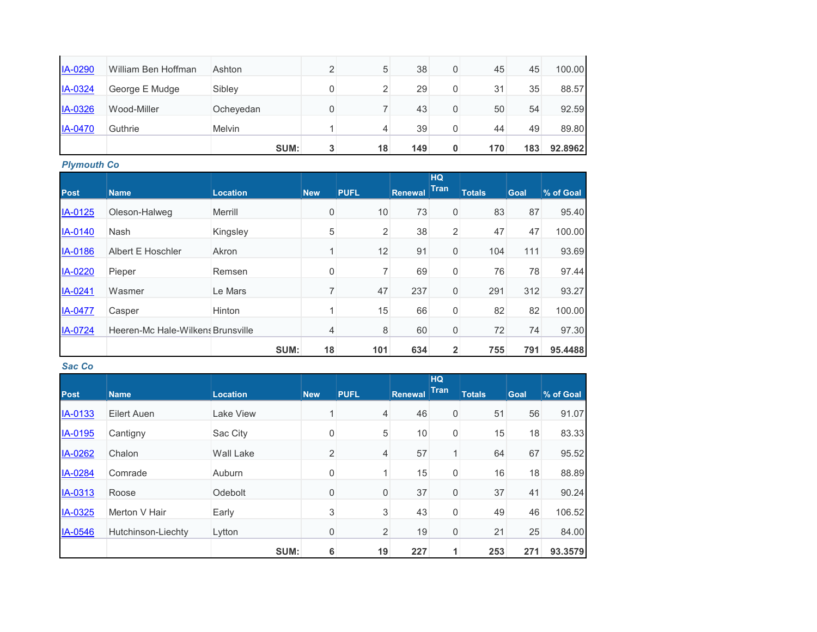|                |                     | SUM:          | 3 | 18 | 149 | 0 | 170 | 183 | 92.8962 |
|----------------|---------------------|---------------|---|----|-----|---|-----|-----|---------|
| <b>IA-0470</b> | Guthrie             | <b>Melvin</b> |   | 4  | 39  | 0 | 44  | 49  | 89.80   |
| <b>IA-0326</b> | Wood-Miller         | Ocheyedan     |   |    | 43  | 0 | 50  | 54  | 92.59   |
| IA-0324        | George E Mudge      | Sibley        |   | 2  | 29  | 0 | 31  | 35  | 88.57   |
| IA-0290        | William Ben Hoffman | Ashton        |   | 5  | 38  | 0 | 45  | 45  | 100.00  |

*Plymouth Co*

|             |                                   |                 |             |             |                | <b>HQ</b>   |               |             |           |
|-------------|-----------------------------------|-----------------|-------------|-------------|----------------|-------------|---------------|-------------|-----------|
| <b>Post</b> | <b>Name</b>                       | <b>Location</b> | <b>New</b>  | <b>PUFL</b> | <b>Renewal</b> | <b>Tran</b> | <b>Totals</b> | <b>Goal</b> | % of Goal |
| IA-0125     | Oleson-Halweg                     | Merrill         | 0           | 10          | 73             | 0           | 83            | 87          | 95.40     |
| IA-0140     | <b>Nash</b>                       | Kingsley        | 5           | 2           | 38             | 2           | 47            | 47          | 100.00    |
| IA-0186     | Albert E Hoschler                 | Akron           | 1           | 12          | 91             | 0           | 104           | 111         | 93.69     |
| IA-0220     | Pieper                            | Remsen          | $\mathbf 0$ | 7           | 69             | 0           | 76            | 78          | 97.44     |
| IA-0241     | Wasmer                            | Le Mars         | 7           | 47          | 237            | $\mathbf 0$ | 291           | 312         | 93.27     |
| IA-0477     | Casper                            | Hinton          | 4           | 15          | 66             | 0           | 82            | 82          | 100.00    |
| IA-0724     | Heeren-Mc Hale-Wilkens Brunsville |                 | 4           | 8           | 60             | 0           | 72            | 74          | 97.30     |
|             |                                   | SUM:            | 18          | 101         | 634            | 2           | 755           | 791         | 95.4488   |

*Sac Co*

|             |                    |                  |             |                |                | <b>HQ</b><br><b>Tran</b> |               |             |           |
|-------------|--------------------|------------------|-------------|----------------|----------------|--------------------------|---------------|-------------|-----------|
| <b>Post</b> | <b>Name</b>        | <b>Location</b>  | <b>New</b>  | <b>PUFL</b>    | <b>Renewal</b> |                          | <b>Totals</b> | <b>Goal</b> | % of Goal |
| IA-0133     | Eilert Auen        | Lake View        |             | 4              | 46             | 0                        | 51            | 56          | 91.07     |
| IA-0195     | Cantigny           | Sac City         | 0           | 5              | 10             | 0                        | 15            | 18          | 83.33     |
| IA-0262     | Chalon             | <b>Wall Lake</b> | 2           | $\overline{4}$ | 57             | $\mathbf{1}$             | 64            | 67          | 95.52     |
| IA-0284     | Comrade            | Auburn           | 0           | 1              | 15             | 0                        | 16            | 18          | 88.89     |
| IA-0313     | Roose              | Odebolt          | $\mathbf 0$ | $\mathbf 0$    | 37             | 0                        | 37            | 41          | 90.24     |
| IA-0325     | Merton V Hair      | Early            | 3           | 3              | 43             | 0                        | 49            | 46          | 106.52    |
| IA-0546     | Hutchinson-Liechty | Lytton           | 0           | $\overline{2}$ | 19             | 0                        | 21            | 25          | 84.00     |
|             |                    | SUM:             | 6           | 19             | 227            |                          | 253           | 271         | 93.3579   |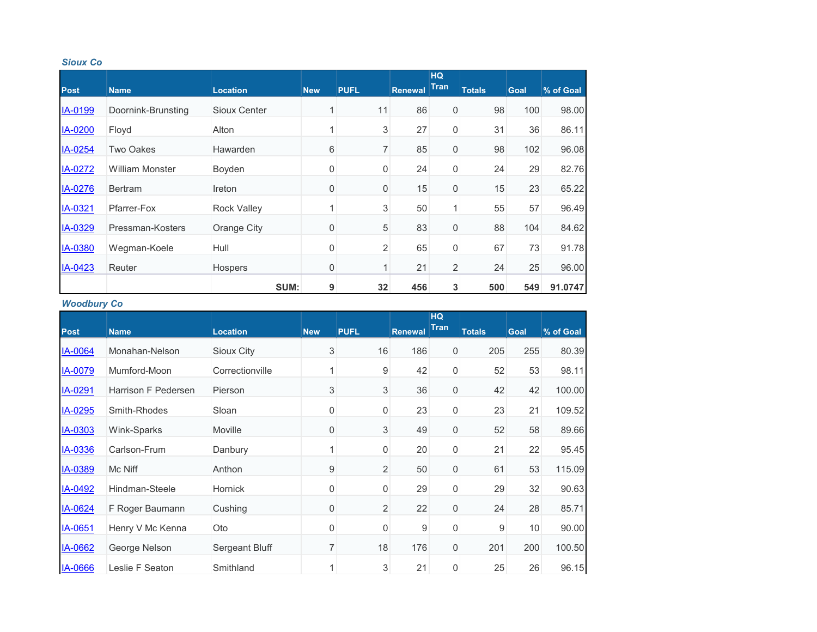#### *Sioux Co*

|             |                        |                    |                  |                |         | <b>HQ</b><br><b>Tran</b> |               |             |           |
|-------------|------------------------|--------------------|------------------|----------------|---------|--------------------------|---------------|-------------|-----------|
| <b>Post</b> | <b>Name</b>            | <b>Location</b>    | <b>New</b>       | <b>PUFL</b>    | Renewal |                          | <b>Totals</b> | <b>Goal</b> | % of Goal |
| IA-0199     | Doornink-Brunsting     | Sioux Center       | 1                | 11             | 86      | 0                        | 98            | 100         | 98.00     |
| IA-0200     | Floyd                  | Alton              | 1                | 3              | 27      | 0                        | 31            | 36          | 86.11     |
| IA-0254     | Two Oakes              | Hawarden           | 6                | 7              | 85      | 0                        | 98            | 102         | 96.08     |
| IA-0272     | <b>William Monster</b> | Boyden             | 0                | 0              | 24      | $\mathbf 0$              | 24            | 29          | 82.76     |
| IA-0276     | <b>Bertram</b>         | Ireton             | $\overline{0}$   | 0              | 15      | 0                        | 15            | 23          | 65.22     |
| IA-0321     | Pfarrer-Fox            | <b>Rock Valley</b> | 1                | 3              | 50      | 1 <sub>1</sub>           | 55            | 57          | 96.49     |
| IA-0329     | Pressman-Kosters       | Orange City        | $\mathbf 0$      | 5              | 83      | 0                        | 88            | 104         | 84.62     |
| IA-0380     | Wegman-Koele           | Hull               | 0                | $\overline{c}$ | 65      | 0                        | 67            | 73          | 91.78     |
| IA-0423     | Reuter                 | Hospers            | $\boldsymbol{0}$ | 1              | 21      | $\overline{2}$           | 24            | 25          | 96.00     |
|             |                        | SUM:               | 9                | 32             | 456     | 3                        | 500           | 549         | 91.0747   |

## *Woodbury Co*

|                |                     |                 |                |                |         | <b>HQ</b>        |               |             |           |
|----------------|---------------------|-----------------|----------------|----------------|---------|------------------|---------------|-------------|-----------|
| <b>Post</b>    | <b>Name</b>         | <b>Location</b> | <b>New</b>     | <b>PUFL</b>    | Renewal | Tran             | <b>Totals</b> | <b>Goal</b> | % of Goal |
| <b>IA-0064</b> | Monahan-Nelson      | Sioux City      | $\sqrt{3}$     | 16             | 186     | $\overline{0}$   | 205           | 255         | 80.39     |
| IA-0079        | Mumford-Moon        | Correctionville |                | 9              | 42      | 0                | 52            | 53          | 98.11     |
| IA-0291        | Harrison F Pedersen | Pierson         | 3              | 3              | 36      | $\boldsymbol{0}$ | 42            | 42          | 100.00    |
| IA-0295        | Smith-Rhodes        | Sloan           | 0              | $\mathbf 0$    | 23      | 0                | 23            | 21          | 109.52    |
| IA-0303        | Wink-Sparks         | Moville         | $\mathbf 0$    | 3              | 49      | $\mathbf 0$      | 52            | 58          | 89.66     |
| IA-0336        | Carlson-Frum        | Danbury         |                | 0              | 20      | 0                | 21            | 22          | 95.45     |
| IA-0389        | Mc Niff             | Anthon          | 9              | $\overline{2}$ | 50      | 0                | 61            | 53          | 115.09    |
| IA-0492        | Hindman-Steele      | Hornick         | 0              | $\mathbf 0$    | 29      | 0                | 29            | 32          | 90.63     |
| IA-0624        | F Roger Baumann     | Cushing         | $\overline{0}$ | $\overline{2}$ | 22      | $\mathbf 0$      | 24            | 28          | 85.71     |
| IA-0651        | Henry V Mc Kenna    | Oto             | $\mathbf 0$    | 0              | 9       | 0                | 9             | 10          | 90.00     |
| IA-0662        | George Nelson       | Sergeant Bluff  | $\overline{7}$ | 18             | 176     | $\mathbf 0$      | 201           | 200         | 100.50    |
| IA-0666        | Leslie F Seaton     | Smithland       |                | 3              | 21      | 0                | 25            | 26          | 96.15     |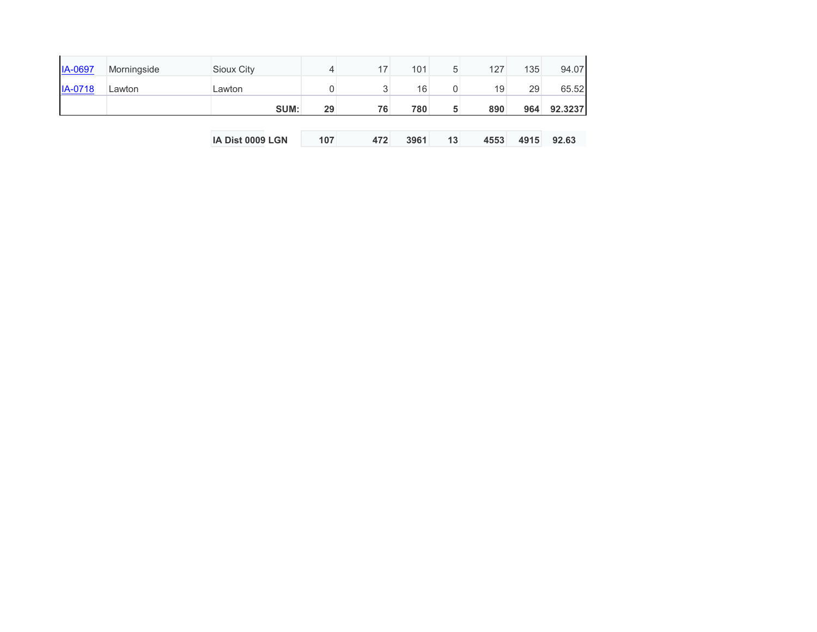|                |             | <b>IA Dist 0009 LGN</b> | 107 | 472 | 3961 | 13 | 4553 | 4915 | 92.63   |
|----------------|-------------|-------------------------|-----|-----|------|----|------|------|---------|
|                |             | SUM:                    | 29  | 76  | 780  | 5  | 890  | 964  | 92.3237 |
| <b>IA-0718</b> | Lawton      | Lawton                  |     | 3   | 16   | 0  | 19   | 29   | 65.52   |
| <b>IA-0697</b> | Morningside | Sioux City              | 4   | 17  | 101  | 5  | 127  | 135  | 94.07   |